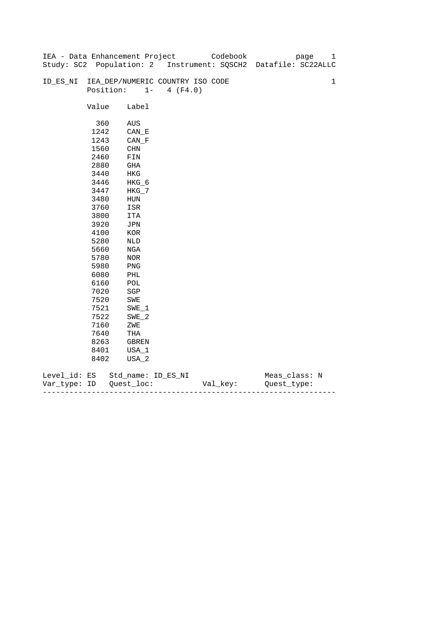|              |       | IEA - Data Enhancement Project   |                   | Codebook | 1<br>page                                                      |
|--------------|-------|----------------------------------|-------------------|----------|----------------------------------------------------------------|
|              |       |                                  |                   |          | Study: SC2 Population: 2 Instrument: SQSCH2 Datafile: SC22ALLC |
|              |       |                                  |                   |          |                                                                |
| ID_ES_NI     |       | IEA_DEP/NUMERIC COUNTRY ISO CODE |                   |          | $\mathbf 1$                                                    |
|              |       | Position:                        | $1 -$<br>4 (F4.0) |          |                                                                |
|              |       |                                  |                   |          |                                                                |
|              | Value | Label                            |                   |          |                                                                |
|              |       |                                  |                   |          |                                                                |
|              | 360   | AUS                              |                   |          |                                                                |
|              | 1242  | CAN E                            |                   |          |                                                                |
|              | 1243  | $CAN_F$                          |                   |          |                                                                |
|              | 1560  | CHN                              |                   |          |                                                                |
|              | 2460  | FIN                              |                   |          |                                                                |
|              | 2880  | GHA                              |                   |          |                                                                |
|              | 3440  | HKG                              |                   |          |                                                                |
|              | 3446  | HKG_6                            |                   |          |                                                                |
|              | 3447  | $HKG_7$                          |                   |          |                                                                |
|              | 3480  | ${\tt HUN}$                      |                   |          |                                                                |
|              | 3760  | ISR                              |                   |          |                                                                |
|              | 3800  | ITA                              |                   |          |                                                                |
|              | 3920  | JPN                              |                   |          |                                                                |
|              | 4100  | $_{\rm KOR}$                     |                   |          |                                                                |
|              | 5280  | NLD                              |                   |          |                                                                |
|              | 5660  | NGA                              |                   |          |                                                                |
|              | 5780  | NOR                              |                   |          |                                                                |
|              | 5980  | PNG                              |                   |          |                                                                |
|              | 6080  | PHL                              |                   |          |                                                                |
|              | 6160  | $\mathtt{POL}$                   |                   |          |                                                                |
|              | 7020  | $_{\rm SGP}$                     |                   |          |                                                                |
|              | 7520  | SWE                              |                   |          |                                                                |
|              | 7521  | $SWE_1$                          |                   |          |                                                                |
|              |       |                                  |                   |          |                                                                |
|              | 7522  | $SWE_2$                          |                   |          |                                                                |
|              | 7160  | ZWE                              |                   |          |                                                                |
|              | 7640  | THA                              |                   |          |                                                                |
|              | 8263  | GBREN                            |                   |          |                                                                |
|              | 8401  | USA_1                            |                   |          |                                                                |
|              | 8402  | USA_2                            |                   |          |                                                                |
| Level_id: ES |       | Std_name: ID_ES_NI               |                   |          | Meas_class: N                                                  |

| Var<br>тvpe.<br>. | TΡ | $ -$ | - |
|-------------------|----|------|---|
|                   |    |      |   |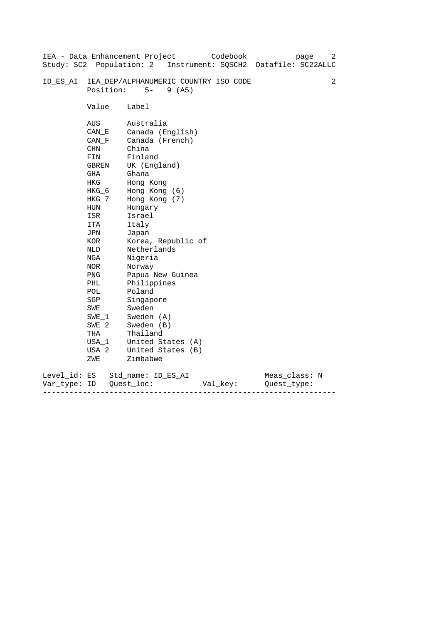| Study: SC2 Population: 2     |                                                                                                                                                                                                                                               | IEA - Data Enhancement Project<br>Codebook<br>page<br>Instrument: SQSCH2 Datafile: SC22ALLC                                                                                                                                                                                                                                                                                                         | 2 |
|------------------------------|-----------------------------------------------------------------------------------------------------------------------------------------------------------------------------------------------------------------------------------------------|-----------------------------------------------------------------------------------------------------------------------------------------------------------------------------------------------------------------------------------------------------------------------------------------------------------------------------------------------------------------------------------------------------|---|
| ID ES AI                     | Position:                                                                                                                                                                                                                                     | IEA_DEP/ALPHANUMERIC COUNTRY ISO CODE<br>$5-$<br>9(AB)                                                                                                                                                                                                                                                                                                                                              | 2 |
|                              | Value                                                                                                                                                                                                                                         | Label                                                                                                                                                                                                                                                                                                                                                                                               |   |
|                              | AUS<br>CAN E<br>CAN F<br><b>CHN</b><br>FIN<br>GBREN<br>GHA<br><b>HKG</b><br>HKG 6<br>$HKG_7$<br>HUN<br>ISR<br>ITA<br>JPN<br>KOR<br>NLD<br>NGA<br>NOR<br><b>PNG</b><br>PHL<br>POL<br>SGP<br>SWE<br>SWE 1<br>$SWE_2$<br>THA<br>USA_1<br>$USA_2$ | Australia<br>Canada (English)<br>Canada (French)<br>China<br>Finland<br>UK (England)<br>Ghana<br>Hong Kong<br>Hong Kong (6)<br>Hong Kong (7)<br>Hungary<br>Israel<br>Italy<br>Japan<br>Korea, Republic of<br>Netherlands<br>Nigeria<br>Norway<br>Papua New Guinea<br>Philippines<br>Poland<br>Singapore<br>Sweden<br>Sweden (A)<br>Sweden (B)<br>Thailand<br>United States (A)<br>United States (B) |   |
|                              | ZWE                                                                                                                                                                                                                                           | Zimbabwe                                                                                                                                                                                                                                                                                                                                                                                            |   |
| Level_id: ES<br>Var type: ID |                                                                                                                                                                                                                                               | Meas_class: N<br>Std name: ID ES AI<br>Quest loc:<br>Ouest type:<br>Val key:                                                                                                                                                                                                                                                                                                                        |   |

------------------------------------------------------------------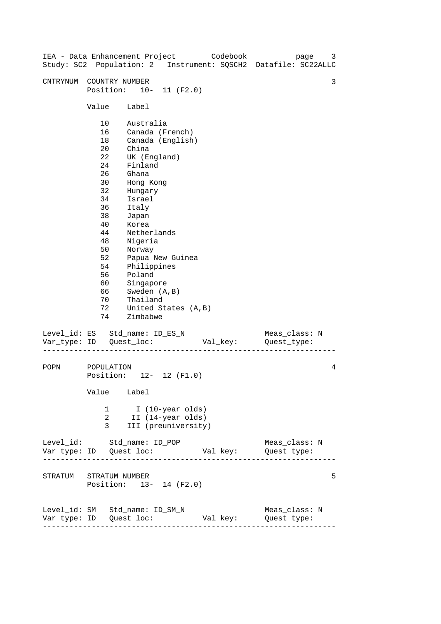| IEA - Data Enhancement Project |                                                                                                                                  |                                                                                                                                                                                                                                                                                       |  | Codebook | page<br>Study: SC2 Population: 2 Instrument: SQSCH2 Datafile: SC22ALLC | 3 |
|--------------------------------|----------------------------------------------------------------------------------------------------------------------------------|---------------------------------------------------------------------------------------------------------------------------------------------------------------------------------------------------------------------------------------------------------------------------------------|--|----------|------------------------------------------------------------------------|---|
| CNTRYNUM                       | COUNTRY NUMBER<br>Position: 10- 11 (F2.0)                                                                                        |                                                                                                                                                                                                                                                                                       |  |          |                                                                        | 3 |
|                                | Value                                                                                                                            | Label                                                                                                                                                                                                                                                                                 |  |          |                                                                        |   |
|                                | 10<br>16<br>18<br>20<br>22<br>24<br>26<br>30<br>32<br>34<br>36<br>38<br>40<br>44<br>48<br>50<br>52<br>54<br>56<br>60<br>66<br>70 | Australia<br>Canada (French)<br>Canada (English)<br>China<br>UK (England)<br>Finland<br>Ghana<br>Hong Kong<br>Hungary<br>Israel<br>Italy<br>Japan<br>Korea<br>Netherlands<br>Nigeria<br>Norway<br>Papua New Guinea<br>Philippines<br>Poland<br>Singapore<br>Sweden (A, B)<br>Thailand |  |          |                                                                        |   |
| Level_id: ES Std_name: ID_ES_N | 72<br>74                                                                                                                         | United States (A, B)<br>Zimbabwe                                                                                                                                                                                                                                                      |  |          | Meas_class: N                                                          |   |
|                                |                                                                                                                                  |                                                                                                                                                                                                                                                                                       |  | Val_key: | Quest_type:                                                            |   |
| POPN                           | POPULATION<br>Position: 12- 12 (F1.0)<br>Value Label                                                                             |                                                                                                                                                                                                                                                                                       |  |          |                                                                        | 4 |
|                                | 1<br>2<br>3                                                                                                                      | I (10-year olds)<br>II (14-year olds)<br>III (preuniversity)                                                                                                                                                                                                                          |  |          |                                                                        |   |
| Level_id: Std_name: ID_POP     |                                                                                                                                  |                                                                                                                                                                                                                                                                                       |  |          | Meas_class: N                                                          |   |
| STRATUM STRATUM NUMBER         | Position: 13- 14 (F2.0)                                                                                                          |                                                                                                                                                                                                                                                                                       |  |          |                                                                        | 5 |
| Level_id: SM Std_name: ID_SM_N | ---------------------                                                                                                            |                                                                                                                                                                                                                                                                                       |  |          | Meas_class: N<br>Val_key: Quest_type:                                  |   |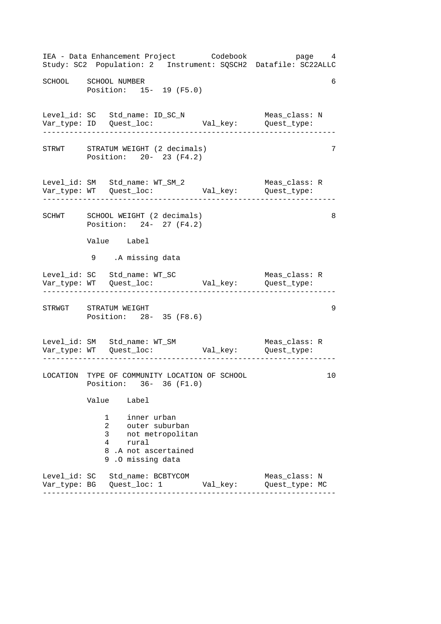------------------------------------------------------------------ ------------------------------------------------------------------ ------------------------------------------------------------------ ------------------------------------------------------------------ ------------------------------------------------------------------ IEA - Data Enhancement Project Codebook page 4 Study: SC2 Population: 2 Instrument: SQSCH2 Datafile: SC22ALLC SCHOOL SCHOOL NUMBER 6 Position: 15- 19 (F5.0) Level\_id: SC Std\_name: ID\_SC\_N Meas\_class: N Var\_type: ID Quest\_loc: Val\_key: Quest\_type: STRWT STRATUM WEIGHT (2 decimals) 7 Position: 20- 23 (F4.2) Level\_id: SM Std\_name: WT\_SM\_2 Meas\_class: R Var\_type: WT Quest\_loc: Val\_key: Quest\_type: SCHWT SCHOOL WEIGHT (2 decimals) 8 Position: 24- 27 (F4.2) Value Label 9 .A missing data Level\_id: SC Std\_name: WT\_SC Meas\_class: R Var\_type: WT Quest\_loc: Val\_key: Quest\_type: STRWGT STRATUM WEIGHT 39 Position: 28- 35 (F8.6) Level\_id: SM Std\_name: WT\_SM Meas\_class: R Var\_type: WT Quest\_loc: Val\_key: Quest\_type: LOCATION TYPE OF COMMUNITY LOCATION OF SCHOOL 10 Position: 36- 36 (F1.0) Value Label 1 inner urban 2 outer suburban 3 not metropolitan 4 rural 8 .A not ascertained 9 .O missing data Level\_id: SC Std\_name: BCBTYCOM Meas\_class: N Var\_type: BG Quest\_loc: 1 Val\_key: Quest\_type: MC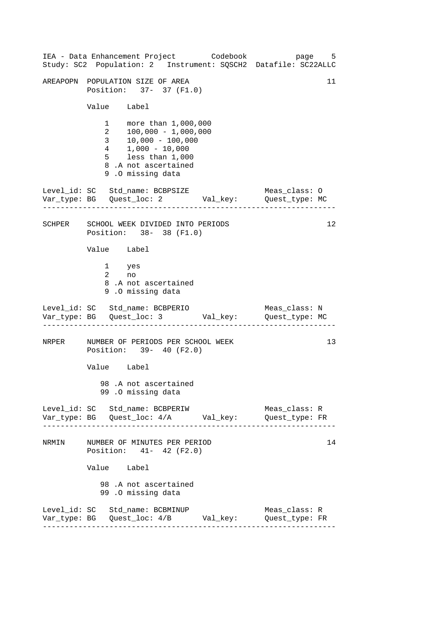------------------------------------------------------------------ ------------------------------------------------------------------ ------------------------------------------------------------------ ------------------------------------------------------------------ 11 IEA - Data Enhancement Project Codebook page 5 Study: SC2 Population: 2 Instrument: SQSCH2 Datafile: SC22ALLC AREAPOPN POPULATION SIZE OF AREA Position: 37- 37 (F1.0) Value Label 1 more than 1,000,000<br>2 100,000 - 1.000.000  $\begin{array}{r} 2 & 100,000 - 1,000,000 \\ 3 & 10,000 - 100.000 \end{array}$  $10,000 - 100,000$ 4 1,000 - 10,000 5 less than 1,000 8 .A not ascertained 9 .O missing data Level\_id: SC Std\_name: BCBPSIZE Meas\_class: O Var\_type: BG Quest\_loc: 2 Val\_key: Quest\_type: MC SCHPER SCHOOL WEEK DIVIDED INTO PERIODS 12 Position: 38- 38 (F1.0) Value Label 1 yes 2 no 8 .A not ascertained 9 .O missing data Level\_id: SC Std\_name: BCBPERIO Meas\_class: N Var\_type: BG Quest\_loc: 3 Val\_key: Quest\_type: MC NRPER NUMBER OF PERIODS PER SCHOOL WEEK 13 Position: 39- 40 (F2.0) Value Label 98 .A not ascertained 99 .O missing data Level\_id: SC Std\_name: BCBPERIW Meas\_class: R Var\_type: BG Quest\_loc: 4/A Val\_key: Quest\_type: FR NRMIN NUMBER OF MINUTES PER PERIOD 14 Position: 41- 42 (F2.0) Value Label 98 .A not ascertained 99 .O missing data Level\_id: SC Std\_name: BCBMINUP Meas\_class: R Var\_type: BG Quest\_loc: 4/B Val\_key: Quest\_type: FR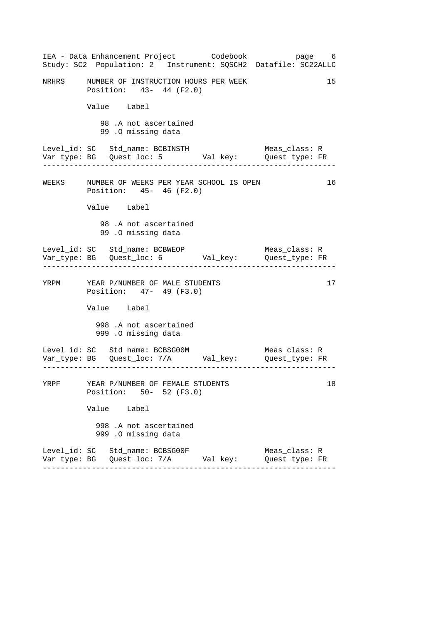------------------------------------------------------------------ ------------------------------------------------------------------ ------------------------------------------------------------------ ------------------------------------------------------------------ IEA - Data Enhancement Project Codebook page 6 Study: SC2 Population: 2 Instrument: SQSCH2 Datafile: SC22ALLC NRHRS MUMBER OF INSTRUCTION HOURS PER WEEK 15 Position: 43- 44 (F2.0) Value Label 98 .A not ascertained 99 .O missing data Level\_id: SC Std\_name: BCBINSTH Meas\_class: R Var\_type: BG Quest\_loc: 5 Val\_key: Quest\_type: FR WEEKS NUMBER OF WEEKS PER YEAR SCHOOL IS OPEN 16 Position: 45- 46 (F2.0) Value Label 98 .A not ascertained 99 .O missing data Level\_id: SC Std\_name: BCBWEOP Meas\_class: R Var\_type: BG Quest\_loc: 6 Val\_key: Quest\_type: FR YRPM YEAR P/NUMBER OF MALE STUDENTS 17 Position: 47- 49 (F3.0) Value Label 998 .A not ascertained 999 .O missing data Level\_id: SC Std\_name: BCBSG00M Meas\_class: R Var\_type: BG Quest\_loc: 7/A Val\_key: Quest\_type: FR YRPF YEAR P/NUMBER OF FEMALE STUDENTS 18 Position: 50- 52 (F3.0) Value Label 998 .A not ascertained 999 .O missing data Level\_id: SC Std\_name: BCBSG00F Meas\_class: R Var\_type: BG Quest\_loc: 7/A Val\_key: Quest\_type: FR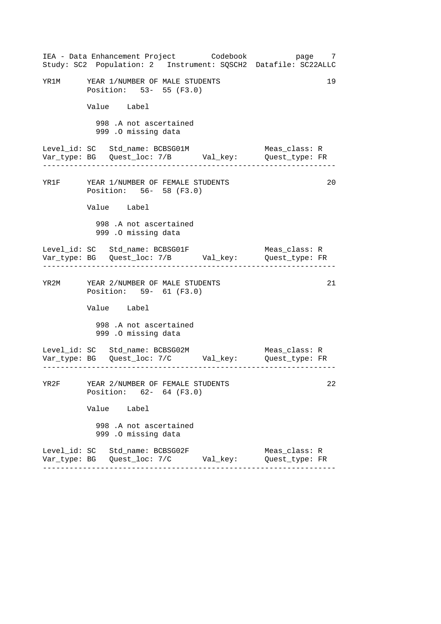|                                       |              |                                                             | IEA - Data Enhancement Project       Codebook  | Study: SC2 Population: 2 Instrument: SQSCH2 Datafile: SC22ALLC | page 7 |
|---------------------------------------|--------------|-------------------------------------------------------------|------------------------------------------------|----------------------------------------------------------------|--------|
| YR1M YEAR 1/NUMBER OF MALE STUDENTS   |              | Position: 53- 55 (F3.0)                                     |                                                |                                                                | 19     |
|                                       | Value Label  |                                                             |                                                |                                                                |        |
|                                       |              | 998 .A not ascertained<br>999 .O missing data               |                                                |                                                                |        |
| Level_id: SC   Std_name: BCBSG01M     | . <u>.</u> . |                                                             |                                                | Meas_class: R                                                  |        |
| YR1F YEAR 1/NUMBER OF FEMALE STUDENTS |              | Position: 56- 58 (F3.0)                                     |                                                |                                                                | 20     |
|                                       | Value Label  |                                                             |                                                |                                                                |        |
|                                       |              | 998 .A not ascertained<br>999 .O missing data               |                                                |                                                                |        |
|                                       |              |                                                             |                                                | Meas_class: R                                                  |        |
| YR2M YEAR 2/NUMBER OF MALE STUDENTS   |              | Position: 59- 61 (F3.0)                                     |                                                |                                                                | 21     |
|                                       | Value Label  |                                                             |                                                |                                                                |        |
|                                       |              | 998 .A not ascertained<br>999 .O missing data               |                                                |                                                                |        |
| Level_id: SC Std_name: BCBSG02M       |              |                                                             |                                                | Meas_class: R                                                  |        |
| YR2F                                  |              | YEAR 2/NUMBER OF FEMALE STUDENTS<br>Position: 62- 64 (F3.0) |                                                |                                                                | 22     |
|                                       | Value Label  |                                                             |                                                |                                                                |        |
|                                       |              | 998 .A not ascertained<br>999 .O missing data               |                                                |                                                                |        |
| Level_id: SC Std_name: BCBSG02F       |              |                                                             | Var_type: BG   Quest_loc: 7/C         Val_key: | Meas_class: R<br>Quest_type: FR                                |        |
|                                       |              |                                                             |                                                |                                                                |        |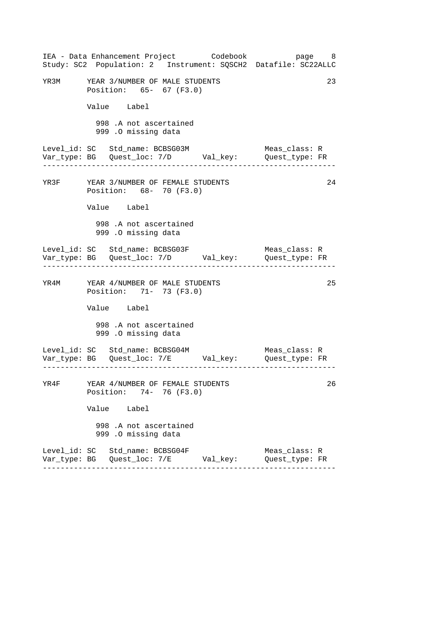|      | IEA - Data Enhancement Project       Codebook                                     |  | Study: SC2 Population: 2 Instrument: SQSCH2 Datafile: SC22ALLC | page 8 |
|------|-----------------------------------------------------------------------------------|--|----------------------------------------------------------------|--------|
|      | YR3M YEAR 3/NUMBER OF MALE STUDENTS<br>Position: 65- 67 (F3.0)                    |  |                                                                | 23     |
|      | Value Label                                                                       |  |                                                                |        |
|      | 998 .A not ascertained<br>999 .O missing data                                     |  |                                                                |        |
|      | Level_id: SC   Std_name: BCBSG03M<br>. _ _ _ _ _ _ _ _ _ _ _ _ _ _ _              |  | Meas_class: R                                                  |        |
|      | YR3F YEAR 3/NUMBER OF FEMALE STUDENTS<br>Position: 68- 70 (F3.0)                  |  |                                                                | 24     |
|      | Value Label                                                                       |  |                                                                |        |
|      | 998 .A not ascertained<br>999 .O missing data                                     |  |                                                                |        |
|      | Level_id: SC   Std_name: BCBSG03F                                                 |  | Meas_class: R                                                  |        |
|      | YR4M YEAR 4/NUMBER OF MALE STUDENTS<br>Position: 71- 73 (F3.0)                    |  |                                                                | 25     |
|      | Value Label                                                                       |  |                                                                |        |
|      | 998 .A not ascertained<br>999 .O missing data                                     |  |                                                                |        |
|      | Level_id: SC Std_name: BCBSG04M                                                   |  | Meas_class: R                                                  |        |
| YR4F | YEAR 4/NUMBER OF FEMALE STUDENTS<br>Position: 74- 76 (F3.0)                       |  |                                                                | 26     |
|      | Value Label                                                                       |  |                                                                |        |
|      | 998 .A not ascertained<br>999 .O missing data                                     |  |                                                                |        |
|      | Level_id: SC Std_name: BCBSG04F<br>Var_type: BG   Quest_loc: 7/E         Val_key: |  | Meas_class: R<br>Quest_type: FR                                |        |
|      |                                                                                   |  |                                                                |        |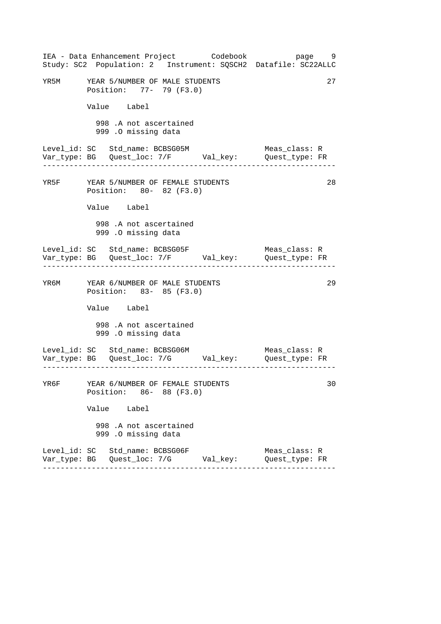|      |                                                                  | IEA - Data Enhancement Project Codebook          | page 9<br>Study: SC2 Population: 2 Instrument: SQSCH2 Datafile: SC22ALLC |    |
|------|------------------------------------------------------------------|--------------------------------------------------|--------------------------------------------------------------------------|----|
|      | YR5M YEAR 5/NUMBER OF MALE STUDENTS<br>Position: 77- 79 (F3.0)   |                                                  |                                                                          | 27 |
|      | Value Label                                                      |                                                  |                                                                          |    |
|      | 998 .A not ascertained<br>999 .O missing data                    |                                                  |                                                                          |    |
|      | Level_id: SC Std_name: BCBSG05M                                  |                                                  | Meas_class: R                                                            |    |
|      | YR5F YEAR 5/NUMBER OF FEMALE STUDENTS<br>Position: 80- 82 (F3.0) |                                                  |                                                                          | 28 |
|      | Value Label                                                      |                                                  |                                                                          |    |
|      | 998 .A not ascertained<br>999 .O missing data                    |                                                  |                                                                          |    |
|      |                                                                  |                                                  | Meas_class: R                                                            |    |
|      | YR6M YEAR 6/NUMBER OF MALE STUDENTS<br>Position: 83- 85 (F3.0)   |                                                  |                                                                          | 29 |
|      | Value Label                                                      |                                                  |                                                                          |    |
|      | 998 .A not ascertained<br>999 .O missing data                    |                                                  |                                                                          |    |
|      | Level_id: SC Std_name: BCBSG06M                                  |                                                  | Meas_class: R                                                            |    |
| YR6F | YEAR 6/NUMBER OF FEMALE STUDENTS<br>Position: 86- 88 (F3.0)      |                                                  |                                                                          | 30 |
|      | Value Label                                                      |                                                  |                                                                          |    |
|      | 998 .A not ascertained<br>999 .O missing data                    |                                                  |                                                                          |    |
|      | Level_id: SC Std_name: BCBSG06F                                  | Var_type: BG    Quest_loc: 7/G          Val_key: | Meas_class: R<br>Quest_type: FR                                          |    |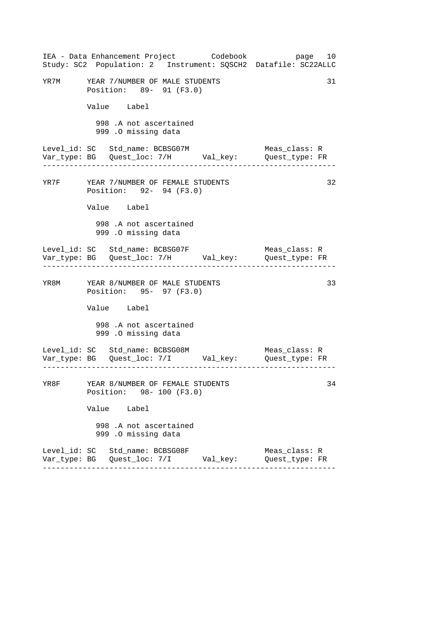|      | IEA - Data Enhancement Project Codebook<br>Study: SC2 Population: 2 Instrument: SQSCH2 Datafile: SC22ALLC                                                  | page 10                              |
|------|------------------------------------------------------------------------------------------------------------------------------------------------------------|--------------------------------------|
|      | YR7M YEAR 7/NUMBER OF MALE STUDENTS<br>Position: 89- 91 (F3.0)                                                                                             | 31                                   |
|      | Value Label                                                                                                                                                |                                      |
|      | 998 .A not ascertained<br>999 .O missing data                                                                                                              |                                      |
|      | Level_id: SC Std_name: BCBSG07M<br>. 2222222222223                                                                                                         | Meas_class: R                        |
|      | YR7F YEAR 7/NUMBER OF FEMALE STUDENTS<br>Position: 92- 94 (F3.0)                                                                                           | 32                                   |
|      | Value Label                                                                                                                                                |                                      |
|      | 998 .A not ascertained<br>999 .O missing data                                                                                                              |                                      |
|      | Level_id: SC Std_name: BCBSG07F                                                                                                                            | Meas_class: R<br>------------------- |
|      | YR8M YEAR 8/NUMBER OF MALE STUDENTS<br>Position: 95- 97 (F3.0)                                                                                             | 33                                   |
|      | Value Label                                                                                                                                                |                                      |
|      | 998 .A not ascertained<br>999 .O missing data                                                                                                              |                                      |
|      | Level_id: SC     Std_name: BCBSG08M                             Meas_class: R<br>Var_type: BG     Quest_loc: 7/I           Val_key:         Quest_type: FR |                                      |
| YR8F | YEAR 8/NUMBER OF FEMALE STUDENTS<br>Position: 98- 100 (F3.0)                                                                                               | 34                                   |
|      | Value Label                                                                                                                                                |                                      |
|      | 998 .A not ascertained<br>999 .O missing data                                                                                                              |                                      |
|      | Level_id: SC Std_name: BCBSG08F<br>Var_type: BG    Quest_loc: 7/I         Val_key:                                                                         | Meas_class: R<br>Quest_type: FR      |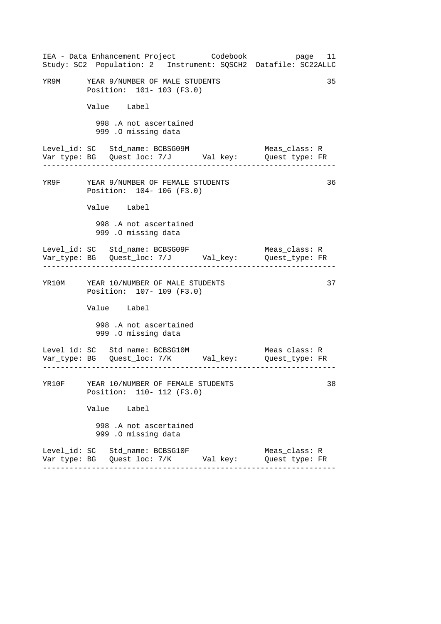|  |                                                                      | IEA - Data Enhancement Project Codebook         | Study: SC2 Population: 2 Instrument: SQSCH2 Datafile: SC22ALLC                         | page 11 |
|--|----------------------------------------------------------------------|-------------------------------------------------|----------------------------------------------------------------------------------------|---------|
|  | YR9M YEAR 9/NUMBER OF MALE STUDENTS<br>Position: 101- 103 (F3.0)     |                                                 |                                                                                        | 35      |
|  | Value Label                                                          |                                                 |                                                                                        |         |
|  | 998 .A not ascertained<br>999 .O missing data                        |                                                 |                                                                                        |         |
|  | Level_id: SC Std_name: BCBSG09M<br>. _ _ _ _ _ _ _ _ _ _ _ _ _ _     |                                                 | Meas_class: R                                                                          |         |
|  | YR9F YEAR 9/NUMBER OF FEMALE STUDENTS<br>Position: 104-106 (F3.0)    |                                                 |                                                                                        | 36      |
|  | Value Label                                                          |                                                 |                                                                                        |         |
|  | 998 .A not ascertained<br>999 .O missing data                        |                                                 |                                                                                        |         |
|  | ----------------------------------                                   |                                                 | Meas_class: R<br>-------------------------                                             |         |
|  | YR10M YEAR 10/NUMBER OF MALE STUDENTS<br>Position: 107- 109 (F3.0)   |                                                 |                                                                                        | 37      |
|  | Value Label                                                          |                                                 |                                                                                        |         |
|  | 998 .A not ascertained<br>999 .O missing data                        |                                                 |                                                                                        |         |
|  | Level_id: SC Std_name: BCBSG10M                                      |                                                 | Meas_class: R<br>Var_type: BG    Quest_loc: 7/K         Val_key:        Quest_type: FR |         |
|  | YR10F YEAR 10/NUMBER OF FEMALE STUDENTS<br>Position: 110- 112 (F3.0) |                                                 |                                                                                        | 38      |
|  | Value Label                                                          |                                                 |                                                                                        |         |
|  | 998 .A not ascertained<br>999 .O missing data                        |                                                 |                                                                                        |         |
|  | Level_id: SC   Std_name: BCBSG10F                                    | Var_type: BG    Quest_loc: 7/K         Val_key: | Meas_class: R<br>Quest type: FR                                                        |         |
|  |                                                                      |                                                 |                                                                                        |         |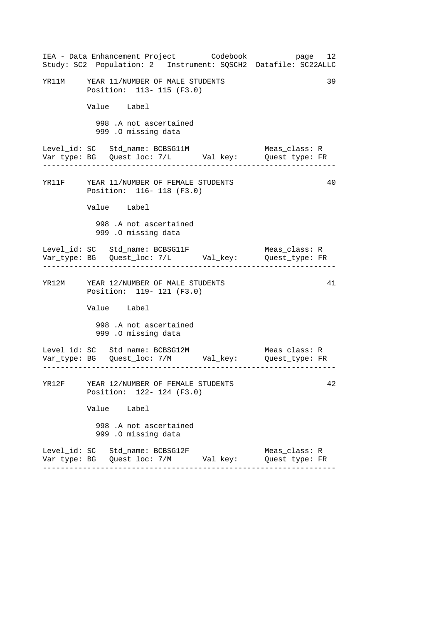| IEA - Data Enhancement Project Codebook<br>Study: SC2 Population: 2 Instrument: SQSCH2 Datafile: SC22ALLC | page 12                         |
|-----------------------------------------------------------------------------------------------------------|---------------------------------|
| YR11M YEAR 11/NUMBER OF MALE STUDENTS<br>Position: 113- 115 (F3.0)                                        | 39                              |
| Value Label                                                                                               |                                 |
| 998 .A not ascertained<br>999 .O missing data                                                             |                                 |
| Level_id: SC Std_name: BCBSG11M                                                                           | Meas_class: R                   |
| YR11F YEAR 11/NUMBER OF FEMALE STUDENTS<br>Position: 116- 118 (F3.0)                                      | 40                              |
| Value Label                                                                                               |                                 |
| 998 .A not ascertained<br>999 .O missing data                                                             |                                 |
|                                                                                                           | Meas_class: R                   |
| YR12M YEAR 12/NUMBER OF MALE STUDENTS<br>Position: 119- 121 (F3.0)                                        | 41                              |
| Value Label                                                                                               |                                 |
| 998 .A not ascertained<br>999 .O missing data                                                             |                                 |
|                                                                                                           |                                 |
| YR12F YEAR 12/NUMBER OF FEMALE STUDENTS<br>Position: 122- 124 (F3.0)                                      | 42                              |
| Value Label                                                                                               |                                 |
| 998 .A not ascertained<br>999 .O missing data                                                             |                                 |
| Level_id: SC Std_name: BCBSG12F                                                                           | Meas_class: R<br>Quest_type: FR |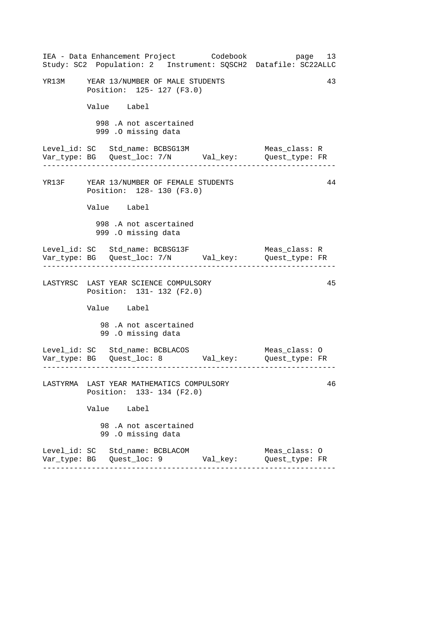| IEA - Data Enhancement Project Codebook<br>Study: SC2 Population: 2 Instrument: SQSCH2 Datafile: SC22ALLC | page 13                         |
|-----------------------------------------------------------------------------------------------------------|---------------------------------|
| YR13M YEAR 13/NUMBER OF MALE STUDENTS<br>Position: 125- 127 (F3.0)                                        | 43                              |
| Value Label                                                                                               |                                 |
| 998 .A not ascertained<br>999 .O missing data                                                             |                                 |
| Level_id: SC Std_name: BCBSG13M<br>Var_type: BG    Quest_loc: 7/N    Val_key:    Quest_type: FR           | Meas_class: R                   |
| YR13F YEAR 13/NUMBER OF FEMALE STUDENTS<br>Position: 128- 130 (F3.0)                                      | 44                              |
| Value Label                                                                                               |                                 |
| 998 .A not ascertained<br>999 .0 missing data                                                             |                                 |
| Level_id: SC Std_name: BCBSG13F<br>Var_type: BG    Quest_loc: 7/N    Val_key:    Quest_type: FR           | Meas_class: R                   |
| LASTYRSC LAST YEAR SCIENCE COMPULSORY<br>Position: 131- 132 (F2.0)                                        | 45                              |
| Value Label                                                                                               |                                 |
| 98.A not ascertained<br>99.0 missing data                                                                 |                                 |
|                                                                                                           |                                 |
| LASTYRMA LAST YEAR MATHEMATICS COMPULSORY<br>Position: 133- 134 (F2.0)                                    | 46                              |
| Value Label                                                                                               |                                 |
| 98 .A not ascertained<br>99.0 missing data                                                                |                                 |
| Level_id: SC Std_name: BCBLACOM                                                                           | Meas_class: 0<br>Quest_type: FR |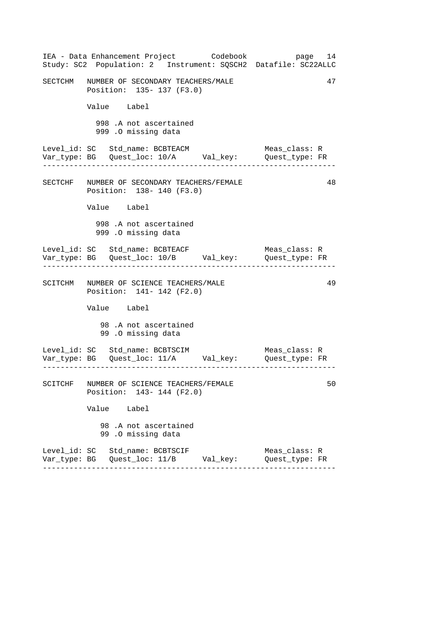| SECTCHM NUMBER OF SECONDARY TEACHERS/MALE<br>Position: 135- 137 (F3.0)<br>Value Label<br>998 .A not ascertained<br>999 .O missing data<br>Level_id: SC Std_name: BCBTEACM<br>Meas_class: R<br>48<br>SECTCHF NUMBER OF SECONDARY TEACHERS/FEMALE<br>Position: 138- 140 (F3.0)<br>Value Label<br>998 .A not ascertained<br>999 .O missing data<br>Meas_class: R<br>SCITCHM NUMBER OF SCIENCE TEACHERS/MALE<br>Position: 141- 142 (F2.0)<br>Value Label<br>98.A not ascertained<br>99 .0 missing data<br>SCITCHF NUMBER OF SCIENCE TEACHERS/FEMALE<br>Position: 143- 144 (F2.0)<br>Value Label<br>98 .A not ascertained<br>99.0 missing data<br>Level_id: SC Std_name: BCBTSCIF<br>Meas_class: R<br>Var_type: BG   Quest_loc: 11/B        Val_key:<br>Quest type: FR | IEA - Data Enhancement Project Codebook<br>Study: SC2 Population: 2 Instrument: SQSCH2 Datafile: SC22ALLC |  | page 14 |
|-------------------------------------------------------------------------------------------------------------------------------------------------------------------------------------------------------------------------------------------------------------------------------------------------------------------------------------------------------------------------------------------------------------------------------------------------------------------------------------------------------------------------------------------------------------------------------------------------------------------------------------------------------------------------------------------------------------------------------------------------------------------|-----------------------------------------------------------------------------------------------------------|--|---------|
|                                                                                                                                                                                                                                                                                                                                                                                                                                                                                                                                                                                                                                                                                                                                                                   |                                                                                                           |  | 47      |
|                                                                                                                                                                                                                                                                                                                                                                                                                                                                                                                                                                                                                                                                                                                                                                   |                                                                                                           |  |         |
|                                                                                                                                                                                                                                                                                                                                                                                                                                                                                                                                                                                                                                                                                                                                                                   |                                                                                                           |  |         |
|                                                                                                                                                                                                                                                                                                                                                                                                                                                                                                                                                                                                                                                                                                                                                                   |                                                                                                           |  |         |
|                                                                                                                                                                                                                                                                                                                                                                                                                                                                                                                                                                                                                                                                                                                                                                   |                                                                                                           |  |         |
|                                                                                                                                                                                                                                                                                                                                                                                                                                                                                                                                                                                                                                                                                                                                                                   |                                                                                                           |  |         |
|                                                                                                                                                                                                                                                                                                                                                                                                                                                                                                                                                                                                                                                                                                                                                                   |                                                                                                           |  |         |
|                                                                                                                                                                                                                                                                                                                                                                                                                                                                                                                                                                                                                                                                                                                                                                   |                                                                                                           |  |         |
|                                                                                                                                                                                                                                                                                                                                                                                                                                                                                                                                                                                                                                                                                                                                                                   |                                                                                                           |  | 49      |
|                                                                                                                                                                                                                                                                                                                                                                                                                                                                                                                                                                                                                                                                                                                                                                   |                                                                                                           |  |         |
|                                                                                                                                                                                                                                                                                                                                                                                                                                                                                                                                                                                                                                                                                                                                                                   |                                                                                                           |  |         |
|                                                                                                                                                                                                                                                                                                                                                                                                                                                                                                                                                                                                                                                                                                                                                                   |                                                                                                           |  |         |
|                                                                                                                                                                                                                                                                                                                                                                                                                                                                                                                                                                                                                                                                                                                                                                   |                                                                                                           |  | 50      |
|                                                                                                                                                                                                                                                                                                                                                                                                                                                                                                                                                                                                                                                                                                                                                                   |                                                                                                           |  |         |
|                                                                                                                                                                                                                                                                                                                                                                                                                                                                                                                                                                                                                                                                                                                                                                   |                                                                                                           |  |         |
|                                                                                                                                                                                                                                                                                                                                                                                                                                                                                                                                                                                                                                                                                                                                                                   |                                                                                                           |  |         |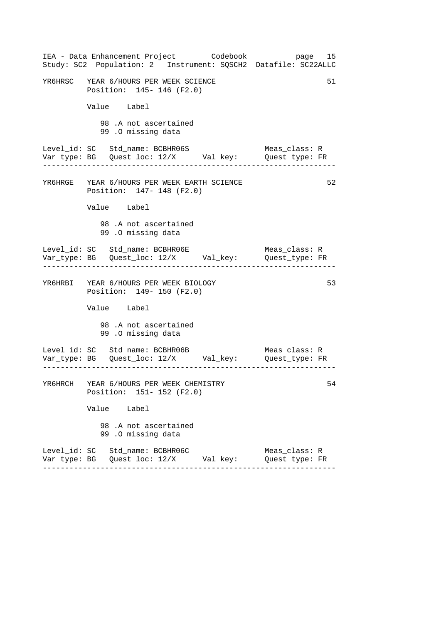| IEA - Data Enhancement Project Codebook<br>Study: SC2 Population: 2 Instrument: SQSCH2 Datafile: SC22ALLC               | page 15                              |
|-------------------------------------------------------------------------------------------------------------------------|--------------------------------------|
| YR6HRSC YEAR 6/HOURS PER WEEK SCIENCE<br>Position: 145- 146 (F2.0)                                                      | 51                                   |
| Value Label                                                                                                             |                                      |
| 98 .A not ascertained<br>99 .0 missing data                                                                             |                                      |
| Level_id: SC Std_name: BCBHR06S<br>. 2222222222222                                                                      | Meas class: R                        |
| YR6HRGE YEAR 6/HOURS PER WEEK EARTH SCIENCE<br>Position: 147- 148 (F2.0)                                                | 52                                   |
| Value Label                                                                                                             |                                      |
| 98.A not ascertained<br>99.0 missing data                                                                               |                                      |
| Level_id: SC Std_name: BCBHR06E<br>------------------------------------                                                 | Meas_class: R<br>------------------- |
| YR6HRBI YEAR 6/HOURS PER WEEK BIOLOGY<br>Position: 149- 150 (F2.0)                                                      | 53                                   |
| Value Label                                                                                                             |                                      |
| 98.A not ascertained<br>99.0 missing data                                                                               |                                      |
| Level_id: SC Std_name: BCBHR06B<br>__ __ __ __<br>Var_type: BG    Quest_loc: 12/X        Val_key:        Quest_type: FR | Meas_class: R                        |
| YR6HRCH YEAR 6/HOURS PER WEEK CHEMISTRY<br>Position: 151- 152 (F2.0)                                                    | 54                                   |
| Value Label                                                                                                             |                                      |
| 98.A not ascertained<br>99.0 missing data                                                                               |                                      |
| Level_id: SC Std_name: BCBHR06C<br>Var_type: BG    Quest_loc: 12/X        Val_key:                                      | Meas_class: R<br>Quest type: FR      |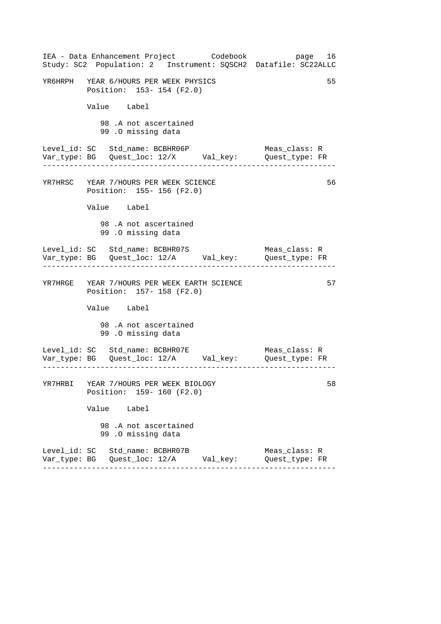| IEA - Data Enhancement Project Codebook<br>Study: SC2 Population: 2 Instrument: SQSCH2 Datafile: SC22ALLC | page 16                         |
|-----------------------------------------------------------------------------------------------------------|---------------------------------|
| YR6HRPH YEAR 6/HOURS PER WEEK PHYSICS<br>Position: 153- 154 (F2.0)                                        | 55                              |
| Value Label                                                                                               |                                 |
| 98.A not ascertained<br>99.0 missing data                                                                 |                                 |
| Level_id: SC Std_name: BCBHR06P<br>Var_type: BG    Quest_loc: 12/X    Val_key:    Quest_type: FR          | Meas_class: R                   |
| YR7HRSC YEAR 7/HOURS PER WEEK SCIENCE<br>Position: 155-156 (F2.0)                                         | 56                              |
| Value Label                                                                                               |                                 |
| 98.A not ascertained<br>99.0 missing data                                                                 |                                 |
| Level_id: SC Std_name: BCBHR07S<br>Var_type: BG    Quest_loc: 12/A    Val_key:    Quest_type: FR          | Meas_class: R                   |
| YR7HRGE YEAR 7/HOURS PER WEEK EARTH SCIENCE<br>Position: 157- 158 (F2.0)                                  | 57                              |
| Value Label                                                                                               |                                 |
| 98.A not ascertained<br>99.0 missing data                                                                 |                                 |
| Level_id: SC Std_name: BCBHR07E<br>Var_type: BG    Quest_loc: 12/A    Val_key:    Quest_type: FR          | Meas_class: R                   |
| YR7HRBI YEAR 7/HOURS PER WEEK BIOLOGY<br>Position: 159-160 (F2.0)                                         | 58                              |
| Value Label                                                                                               |                                 |
| 98 .A not ascertained<br>99.0 missing data                                                                |                                 |
| Level_id: SC Std_name: BCBHR07B                                                                           | Meas_class: R<br>Quest_type: FR |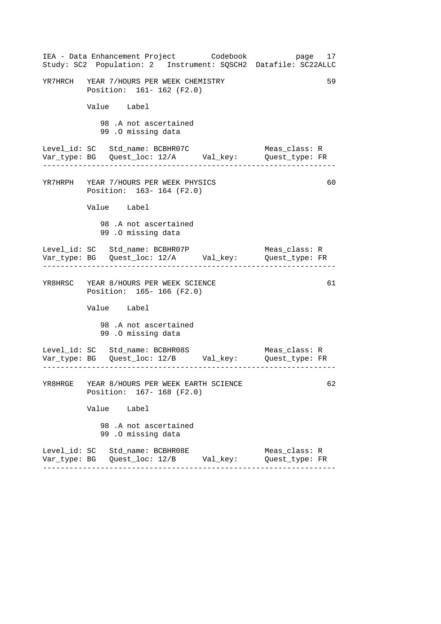| IEA - Data Enhancement Project Codebook<br>Study: SC2 Population: 2 Instrument: SQSCH2 Datafile: SC22ALLC | page 17                         |
|-----------------------------------------------------------------------------------------------------------|---------------------------------|
| YR7HRCH YEAR 7/HOURS PER WEEK CHEMISTRY<br>Position: 161- 162 (F2.0)                                      | 59                              |
| Value Label                                                                                               |                                 |
| 98 .A not ascertained<br>99.0 missing data                                                                |                                 |
| Level_id: SC Std_name: BCBHR07C                                                                           | Meas_class: R<br>Quest_type: FR |
| YR7HRPH YEAR 7/HOURS PER WEEK PHYSICS<br>Position: 163-164 (F2.0)                                         | 60                              |
| Value Label                                                                                               |                                 |
| 98.A not ascertained<br>99.0 missing data                                                                 |                                 |
| Level_id: SC Std_name: BCBHR07P                                                                           | Meas_class: R                   |
| YR8HRSC YEAR 8/HOURS PER WEEK SCIENCE<br>Position: 165- 166 (F2.0)                                        | 61                              |
| Value Label                                                                                               |                                 |
| 98.A not ascertained<br>99.0 missing data                                                                 |                                 |
| Level_id: SC Std_name: BCBHR08S                                                                           | Meas_class: R                   |
| YR8HRGE YEAR 8/HOURS PER WEEK EARTH SCIENCE<br>Position: 167- 168 (F2.0)                                  | 62                              |
| Value Label                                                                                               |                                 |
| 98.A not ascertained<br>99.0 missing data                                                                 |                                 |
| Level_id: SC Std_name: BCBHR08E<br>Var_type: BG   Quest_loc: 12/B        Val_key:                         | Meas_class: R<br>Quest_type: FR |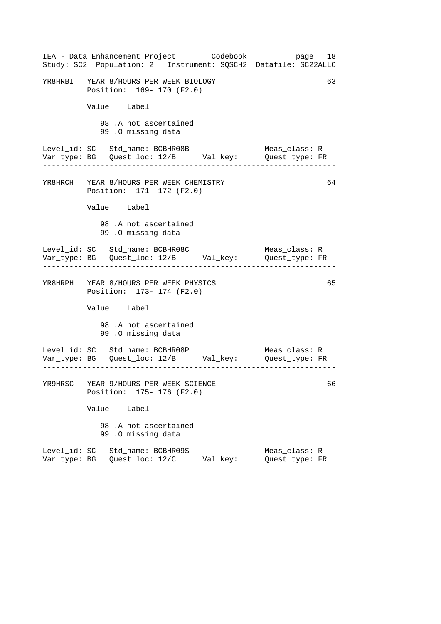| IEA - Data Enhancement Project Codebook<br>Study: SC2 Population: 2 Instrument: SQSCH2 Datafile: SC22ALLC                              | page 18                             |
|----------------------------------------------------------------------------------------------------------------------------------------|-------------------------------------|
| YR8HRBI YEAR 8/HOURS PER WEEK BIOLOGY<br>Position: 169- 170 (F2.0)                                                                     | 63                                  |
| Value Label                                                                                                                            |                                     |
| 98.A not ascertained<br>99.0 missing data                                                                                              |                                     |
| Level_id: SC Std_name: BCBHR08B<br>Var_type: BG    Quest_loc: 12/B    Val_key:    Quest_type: FR                                       | Meas_class: R                       |
| YR8HRCH YEAR 8/HOURS PER WEEK CHEMISTRY<br>Position: 171- 172 (F2.0)                                                                   | 64                                  |
| Value Label                                                                                                                            |                                     |
| 98.A not ascertained<br>99.0 missing data                                                                                              |                                     |
| Level_id: SC Std_name: BCBHR08C<br>Var_type: BG    Quest_loc: 12/B    Val_key:    Quest_type: FR<br>__________________________________ | Meas_class: R<br>------------------ |
| YR8HRPH YEAR 8/HOURS PER WEEK PHYSICS<br>Position: 173- 174 (F2.0)                                                                     | 65                                  |
| Value Label                                                                                                                            |                                     |
| 98.A not ascertained<br>99.0 missing data                                                                                              |                                     |
| Level_id: SC Std_name: BCBHR08P                                                                                                        | Meas_class: R                       |
| YR9HRSC YEAR 9/HOURS PER WEEK SCIENCE<br>Position: 175- 176 (F2.0)                                                                     | 66                                  |
| Value Label                                                                                                                            |                                     |
| 98.A not ascertained<br>99.0 missing data                                                                                              |                                     |
| Level_id: SC Std_name: BCBHR09S                                                                                                        | Meas_class: R<br>Quest_type: FR     |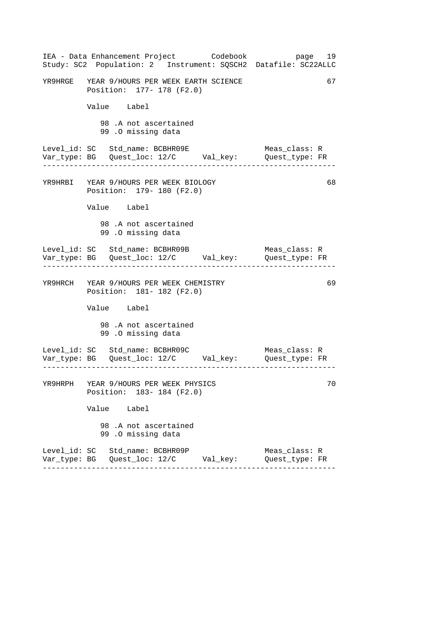| IEA - Data Enhancement Project Codebook<br>Study: SC2 Population: 2 Instrument: SQSCH2 Datafile: SC22ALLC | page 19                         |
|-----------------------------------------------------------------------------------------------------------|---------------------------------|
| YR9HRGE YEAR 9/HOURS PER WEEK EARTH SCIENCE<br>Position: 177- 178 (F2.0)                                  | 67                              |
| Value Label                                                                                               |                                 |
| 98.A not ascertained<br>99.0 missing data                                                                 |                                 |
| Level_id: SC Std_name: BCBHR09E<br>Var_type: BG    Quest_loc: 12/C    Val_key:    Quest_type: FR          | Meas_class: R                   |
| YR9HRBI YEAR 9/HOURS PER WEEK BIOLOGY<br>Position: 179- 180 (F2.0)                                        | 68                              |
| Value Label                                                                                               |                                 |
| 98.A not ascertained<br>99.0 missing data                                                                 |                                 |
| Level_id: SC Std_name: BCBHR09B<br>Var_type: BG    Quest_loc: 12/C    Val_key:    Quest_type: FR          | Meas_class: R                   |
| YR9HRCH YEAR 9/HOURS PER WEEK CHEMISTRY<br>Position: 181- 182 (F2.0)                                      | 69                              |
| Value Label                                                                                               |                                 |
| 98.A not ascertained<br>99.0 missing data                                                                 |                                 |
| Level_id: SC Std_name: BCBHR09C Meas_class: R<br>Var_type: BG Quest_loc: 12/C Val_key: Quest_type: FR     |                                 |
| YR9HRPH YEAR 9/HOURS PER WEEK PHYSICS<br>Position: 183-184 (F2.0)                                         | 70                              |
| Value Label                                                                                               |                                 |
| 98.A not ascertained<br>99.0 missing data                                                                 |                                 |
| Level_id: SC Std_name: BCBHR09P                                                                           | Meas_class: R<br>Quest type: FR |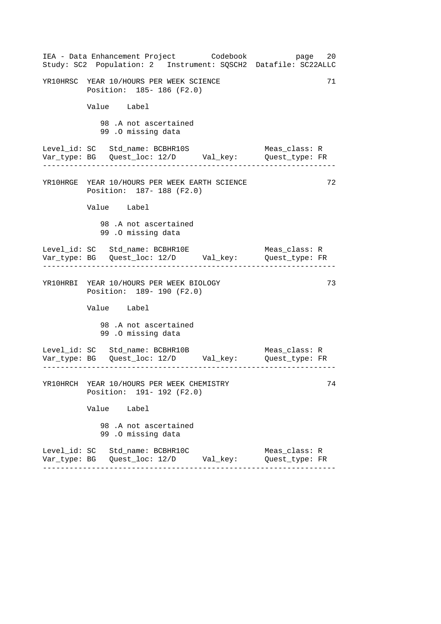| IEA - Data Enhancement Project Codebook<br>Study: SC2 Population: 2 Instrument: SQSCH2 Datafile: SC22ALLC | page 20                         |
|-----------------------------------------------------------------------------------------------------------|---------------------------------|
| YR10HRSC YEAR 10/HOURS PER WEEK SCIENCE<br>Position: 185- 186 (F2.0)                                      | 71                              |
| Value Label                                                                                               |                                 |
| 98.A not ascertained<br>99 .0 missing data                                                                |                                 |
| Level_id: SC Std_name: BCBHR10S                                                                           | Meas_class: R                   |
| YR10HRGE YEAR 10/HOURS PER WEEK EARTH SCIENCE<br>Position: 187- 188 (F2.0)                                | 72                              |
| Value Label                                                                                               |                                 |
| 98.A not ascertained<br>99 .0 missing data                                                                |                                 |
| Level_id: SC Std_name: BCBHR10E                                                                           | Meas_class: R                   |
| YR10HRBI YEAR 10/HOURS PER WEEK BIOLOGY<br>Position: 189- 190 (F2.0)                                      | 73                              |
| Value Label                                                                                               |                                 |
| 98.A not ascertained<br>99.0 missing data                                                                 |                                 |
|                                                                                                           |                                 |
| YR10HRCH YEAR 10/HOURS PER WEEK CHEMISTRY<br>Position: 191- 192 (F2.0)                                    | 74                              |
| Value Label                                                                                               |                                 |
| 98.A not ascertained<br>99.0 missing data                                                                 |                                 |
| Level_id: SC Std_name: BCBHR10C                                                                           | Meas_class: R<br>Quest type: FR |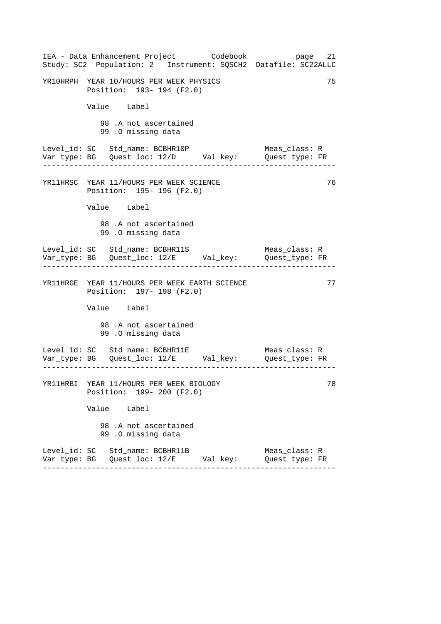| IEA - Data Enhancement Project Codebook<br>Study: SC2 Population: 2 Instrument: SQSCH2 Datafile: SC22ALLC | 21<br>page                                       |
|-----------------------------------------------------------------------------------------------------------|--------------------------------------------------|
| YR10HRPH YEAR 10/HOURS PER WEEK PHYSICS<br>Position: 193- 194 (F2.0)                                      | 75                                               |
| Value Label                                                                                               |                                                  |
| 98 .A not ascertained<br>99.0 missing data                                                                |                                                  |
| Level_id: SC Std_name: BCBHR10P<br>Var_type: BG    Quest_loc: 12/D    Val_key:    Quest_type: FR          | Meas_class: R                                    |
| YR11HRSC YEAR 11/HOURS PER WEEK SCIENCE<br>Position: 195- 196 (F2.0)                                      | 76                                               |
| Value Label                                                                                               |                                                  |
| 98.A not ascertained<br>99.0 missing data                                                                 |                                                  |
|                                                                                                           | Meas_class: R<br>. Lie die Lie die Lie die Lie d |
| YR11HRGE YEAR 11/HOURS PER WEEK EARTH SCIENCE<br>Position: 197- 198 (F2.0)                                | 77                                               |
| Value Label                                                                                               |                                                  |
| 98.A not ascertained<br>99.0 missing data                                                                 |                                                  |
| Level_id: SC Std_name: BCBHR11E                                                                           | Meas_class: R                                    |
| YR11HRBI YEAR 11/HOURS PER WEEK BIOLOGY<br>Position: 199- 200 (F2.0)                                      | 78                                               |
| Value Label                                                                                               |                                                  |
| 98.A not ascertained<br>99.0 missing data                                                                 |                                                  |
| Level_id: SC Std_name: BCBHR11B<br>Var_type: BG    Quest_loc: 12/E        Val_key:                        | Meas_class: R<br>Quest_type: FR                  |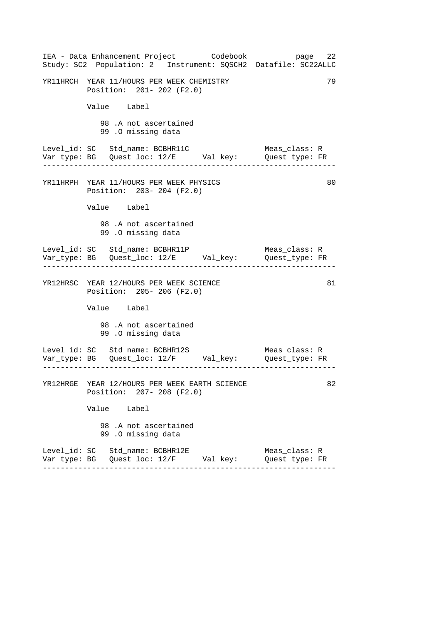| IEA - Data Enhancement Project Codebook<br>Study: SC2 Population: 2 Instrument: SQSCH2 Datafile: SC22ALLC | page 22                         |
|-----------------------------------------------------------------------------------------------------------|---------------------------------|
| YR11HRCH YEAR 11/HOURS PER WEEK CHEMISTRY<br>Position: 201- 202 (F2.0)                                    | 79                              |
| Value Label                                                                                               |                                 |
| 98.A not ascertained<br>99.0 missing data                                                                 |                                 |
| Level_id: SC Std_name: BCBHR11C<br>Var_type: BG    Quest_loc: 12/E    Val_key:    Quest_type: FR          | Meas_class: R                   |
| YR11HRPH YEAR 11/HOURS PER WEEK PHYSICS<br>Position: 203- 204 (F2.0)                                      | 80                              |
| Value Label                                                                                               |                                 |
| 98.A not ascertained<br>99.0 missing data                                                                 |                                 |
| Level_id: SC Std_name: BCBHR11P<br>Var_type: BG    Quest_loc: 12/E    Val_key:    Quest_type: FR          | Meas_class: R                   |
| YR12HRSC YEAR 12/HOURS PER WEEK SCIENCE<br>Position: 205-206 (F2.0)                                       | 81                              |
| Value Label                                                                                               |                                 |
| 98.A not ascertained<br>99.0 missing data                                                                 |                                 |
| Level_id: SC Std_name: BCBHR12S Meas_class: R<br>Var_type: BG Quest_loc: 12/F Val_key: Quest_type: FR     |                                 |
| YR12HRGE YEAR 12/HOURS PER WEEK EARTH SCIENCE<br>Position: 207- 208 (F2.0)                                | 82                              |
| Value Label                                                                                               |                                 |
| 98 .A not ascertained<br>99.0 missing data                                                                |                                 |
| Level_id: SC Std_name: BCBHR12E                                                                           | Meas_class: R<br>Quest_type: FR |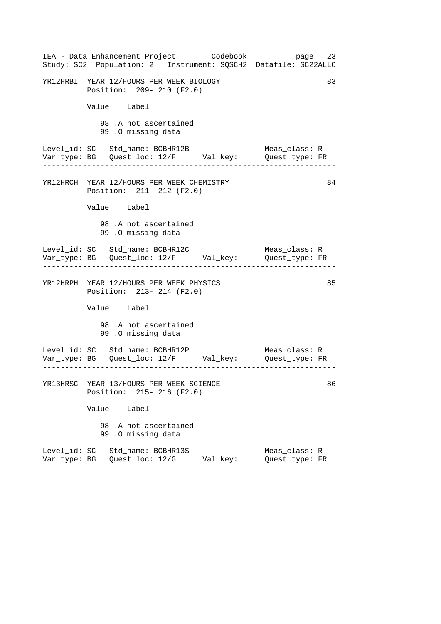| IEA - Data Enhancement Project Codebook<br>Study: SC2 Population: 2 Instrument: SQSCH2 Datafile: SC22ALLC | page 23                         |
|-----------------------------------------------------------------------------------------------------------|---------------------------------|
| YR12HRBI YEAR 12/HOURS PER WEEK BIOLOGY<br>Position: 209- 210 (F2.0)                                      | 83                              |
| Value Label                                                                                               |                                 |
| 98 .A not ascertained<br>99.0 missing data                                                                |                                 |
| Level_id: SC Std_name: BCBHR12B<br>Var_type: BG    Quest_loc: 12/F    Val_key:    Quest_type: FR          | Meas_class: R                   |
| YR12HRCH YEAR 12/HOURS PER WEEK CHEMISTRY<br>Position: 211- 212 (F2.0)                                    | 84                              |
| Value Label                                                                                               |                                 |
| 98.A not ascertained<br>99.0 missing data                                                                 |                                 |
|                                                                                                           | Meas_class: R                   |
| YR12HRPH YEAR 12/HOURS PER WEEK PHYSICS<br>Position: 213- 214 (F2.0)                                      | 85                              |
| Value Label                                                                                               |                                 |
| 98.A not ascertained<br>99.0 missing data                                                                 |                                 |
| Level_id: SC Std_name: BCBHR12P<br>Var_type: BG    Quest_loc: 12/F    Val_key:    Quest_type: FR          | Meas_class: R                   |
| YR13HRSC YEAR 13/HOURS PER WEEK SCIENCE<br>Position: 215- 216 (F2.0)                                      | 86                              |
| Value Label                                                                                               |                                 |
| 98.A not ascertained<br>99.0 missing data                                                                 |                                 |
| Level_id: SC Std_name: BCBHR13S<br>Var_type: BG    Quest_loc: 12/G        Val_key:                        | Meas_class: R<br>Quest_type: FR |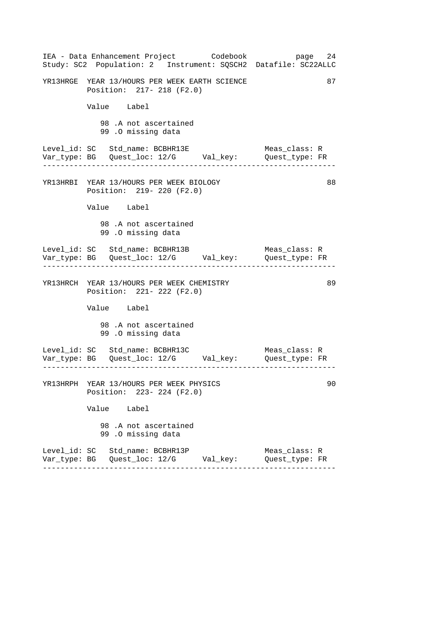| IEA - Data Enhancement Project Codebook<br>Study: SC2 Population: 2 Instrument: SQSCH2 Datafile: SC22ALLC | page 24                         |
|-----------------------------------------------------------------------------------------------------------|---------------------------------|
| YR13HRGE YEAR 13/HOURS PER WEEK EARTH SCIENCE<br>Position: 217- 218 (F2.0)                                | 87                              |
| Value Label                                                                                               |                                 |
| 98.A not ascertained<br>99.0 missing data                                                                 |                                 |
| Level_id: SC Std_name: BCBHR13E                                                                           | Meas_class: R                   |
| YR13HRBI YEAR 13/HOURS PER WEEK BIOLOGY<br>Position: 219- 220 (F2.0)                                      | 88                              |
| Value Label                                                                                               |                                 |
| 98.A not ascertained<br>99 .0 missing data                                                                |                                 |
|                                                                                                           | Meas_class: R                   |
| YR13HRCH YEAR 13/HOURS PER WEEK CHEMISTRY<br>Position: 221- 222 (F2.0)                                    | 89                              |
| Value Label                                                                                               |                                 |
| 98.A not ascertained<br>99.0 missing data                                                                 |                                 |
|                                                                                                           |                                 |
| YR13HRPH YEAR 13/HOURS PER WEEK PHYSICS<br>Position: 223- 224 (F2.0)                                      | 90                              |
| Value Label                                                                                               |                                 |
| 98.A not ascertained<br>99.0 missing data                                                                 |                                 |
| Level_id: SC Std_name: BCBHR13P                                                                           | Meas_class: R<br>Quest type: FR |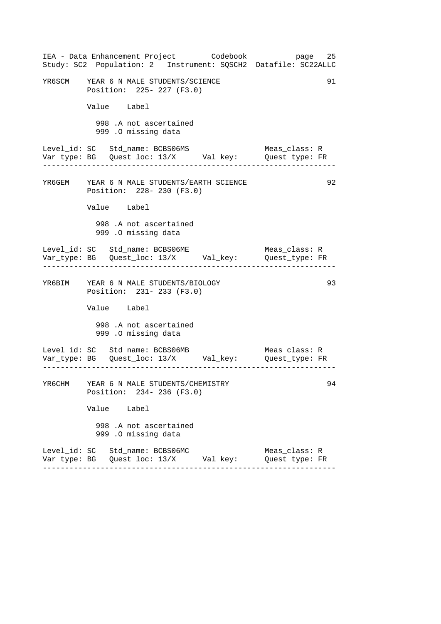|        |             |                                                                    | IEA - Data Enhancement Project Codebook         | Study: SC2 Population: 2 Instrument: SQSCH2 Datafile: SC22ALLC                 | page 25 |
|--------|-------------|--------------------------------------------------------------------|-------------------------------------------------|--------------------------------------------------------------------------------|---------|
|        |             | YR6SCM YEAR 6 N MALE STUDENTS/SCIENCE<br>Position: 225- 227 (F3.0) |                                                 |                                                                                | 91      |
|        | Value Label |                                                                    |                                                 |                                                                                |         |
|        |             | 998 .A not ascertained<br>999 .O missing data                      |                                                 |                                                                                |         |
|        |             | Level_id: SC Std_name: BCBS06MS                                    |                                                 | Meas_class: R<br>Var_type: BG    Quest_loc: 13/X    Val_key:    Quest_type: FR |         |
|        |             | Position: 228- 230 (F3.0)                                          | YR6GEM YEAR 6 N MALE STUDENTS/EARTH SCIENCE     |                                                                                | 92      |
|        | Value Label |                                                                    |                                                 |                                                                                |         |
|        |             | 998 .A not ascertained<br>999 .0 missing data                      |                                                 |                                                                                |         |
|        |             | Level_id: SC Std_name: BCBS06ME                                    |                                                 | Meas_class: R                                                                  |         |
|        |             | YR6BIM YEAR 6 N MALE STUDENTS/BIOLOGY<br>Position: 231- 233 (F3.0) |                                                 |                                                                                | 93      |
|        | Value Label |                                                                    |                                                 |                                                                                |         |
|        |             | 998 .A not ascertained<br>999 .O missing data                      |                                                 |                                                                                |         |
|        |             | Level_id: SC Std_name: BCBS06MB                                    |                                                 | Meas_class: R                                                                  |         |
| YR6CHM |             | YEAR 6 N MALE STUDENTS/CHEMISTRY<br>Position: 234- 236 (F3.0)      |                                                 |                                                                                | 94      |
|        | Value Label |                                                                    |                                                 |                                                                                |         |
|        |             | 998 .A not ascertained<br>999 .O missing data                      |                                                 |                                                                                |         |
|        |             | Level_id: SC Std_name: BCBS06MC                                    | Var_type: BG    Quest_loc: 13/X        Val_key: | Meas class: R<br>Quest_type: FR                                                |         |
|        |             |                                                                    |                                                 |                                                                                |         |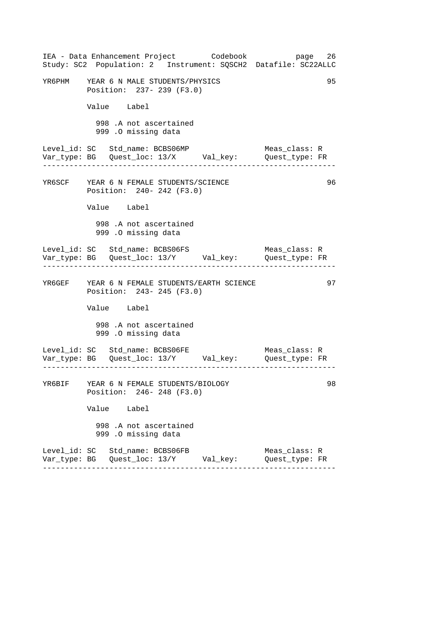|                                 |                     |                                                                      | IEA - Data Enhancement Project Codebook         | page<br>Study: SC2 Population: 2 Instrument: SQSCH2 Datafile: SC22ALLC                                | 26 |
|---------------------------------|---------------------|----------------------------------------------------------------------|-------------------------------------------------|-------------------------------------------------------------------------------------------------------|----|
|                                 |                     | YR6PHM YEAR 6 N MALE STUDENTS/PHYSICS<br>Position: 237- 239 (F3.0)   |                                                 |                                                                                                       | 95 |
|                                 | Value Label         |                                                                      |                                                 |                                                                                                       |    |
|                                 | 999 .O missing data | 998 .A not ascertained                                               |                                                 |                                                                                                       |    |
|                                 |                     | Level_id: SC Std_name: BCBS06MP                                      |                                                 | Meas class: R                                                                                         |    |
|                                 |                     | YR6SCF YEAR 6 N FEMALE STUDENTS/SCIENCE<br>Position: 240- 242 (F3.0) |                                                 |                                                                                                       | 96 |
|                                 | Value Label         |                                                                      |                                                 |                                                                                                       |    |
|                                 | 999 .O missing data | 998 .A not ascertained                                               |                                                 |                                                                                                       |    |
|                                 |                     | Level_id: SC Std_name: BCBS06FS                                      |                                                 | Meas_class: R                                                                                         |    |
|                                 |                     | Position: 243- 245 (F3.0)                                            | YR6GEF YEAR 6 N FEMALE STUDENTS/EARTH SCIENCE   |                                                                                                       | 97 |
|                                 | Value Label         |                                                                      |                                                 |                                                                                                       |    |
|                                 | 999 .O missing data | 998 .A not ascertained                                               |                                                 |                                                                                                       |    |
|                                 |                     | Level_id: SC Std_name: BCBS06FE                                      |                                                 | Meas_class: R<br>__ __ __ __<br>Var_type: BG    Quest_loc: 13/Y        Val_key:        Quest_type: FR |    |
|                                 |                     | YR6BIF YEAR 6 N FEMALE STUDENTS/BIOLOGY<br>Position: 246- 248 (F3.0) |                                                 |                                                                                                       | 98 |
|                                 | Value Label         |                                                                      |                                                 |                                                                                                       |    |
|                                 | 999 .O missing data | 998 .A not ascertained                                               |                                                 |                                                                                                       |    |
| Level_id: SC Std_name: BCBS06FB |                     |                                                                      | Var_type: BG    Quest_loc: 13/Y        Val_key: | Meas_class: R<br>Quest_type: FR                                                                       |    |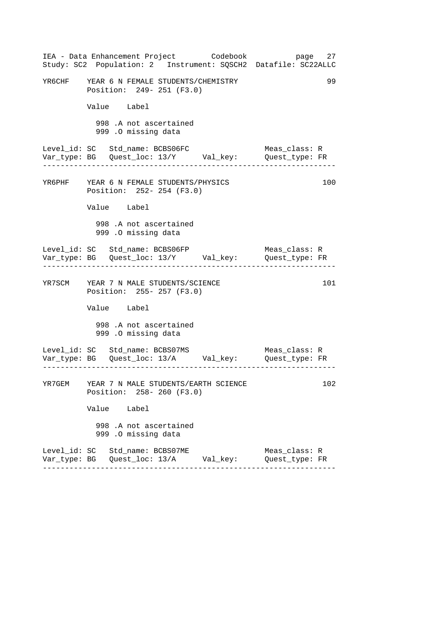|        | IEA - Data Enhancement Project Codebook<br>Study: SC2 Population: 2 Instrument: SQSCH2 Datafile: SC22ALLC | page 27                         |     |
|--------|-----------------------------------------------------------------------------------------------------------|---------------------------------|-----|
|        | YR6CHF YEAR 6 N FEMALE STUDENTS/CHEMISTRY<br>Position: 249- 251 (F3.0)                                    |                                 | 99  |
|        | Value Label                                                                                               |                                 |     |
|        | 998 .A not ascertained<br>999 .O missing data                                                             |                                 |     |
|        | Level_id: SC Std_name: BCBS06FC<br>Var_type: BG    Quest_loc: 13/Y    Val_key:    Quest_type: FR          | Meas_class: R                   |     |
|        | YR6PHF YEAR 6 N FEMALE STUDENTS/PHYSICS<br>Position: 252- 254 (F3.0)                                      |                                 | 100 |
|        | Value Label                                                                                               |                                 |     |
|        | 998 .A not ascertained<br>999 .0 missing data                                                             |                                 |     |
|        | Level_id: SC Std_name: BCBS06FP<br>Var_type: BG    Quest_loc: 13/Y    Val_key:    Quest_type: FR          | Meas_class: R                   |     |
|        | YR7SCM YEAR 7 N MALE STUDENTS/SCIENCE<br>Position: 255- 257 (F3.0)                                        |                                 | 101 |
|        | Value Label                                                                                               |                                 |     |
|        | 998 .A not ascertained<br>999 .O missing data                                                             |                                 |     |
|        | Level_id: SC Std_name: BCBS07MS<br>Var_type: BG    Quest_loc: 13/A    Val_key:    Quest_type: FR          | Meas_class: R                   |     |
| YR7GEM | YEAR 7 N MALE STUDENTS/EARTH SCIENCE<br>Position: 258-260 (F3.0)                                          |                                 | 102 |
|        | Value Label                                                                                               |                                 |     |
|        | 998 .A not ascertained<br>999 .O missing data                                                             |                                 |     |
|        | Level_id: SC Std_name: BCBS07ME<br>Var_type: BG   Quest_loc: 13/A      Val_key:                           | Meas_class: R<br>Quest_type: FR |     |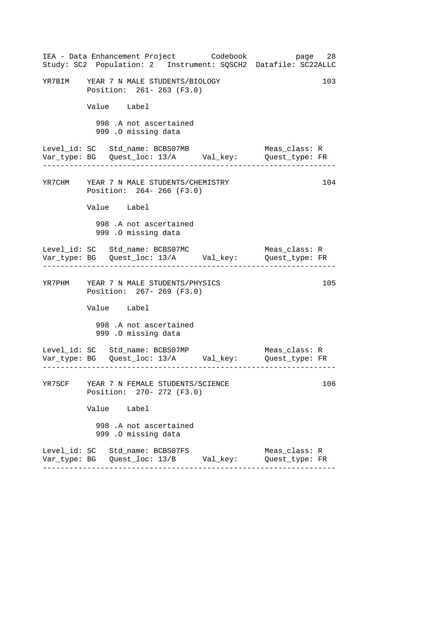|        | IEA - Data Enhancement Project Codebook<br>Study: SC2 Population: 2 Instrument: SQSCH2 Datafile: SC22ALLC |  | page 28                         |     |
|--------|-----------------------------------------------------------------------------------------------------------|--|---------------------------------|-----|
|        | YR7BIM YEAR 7 N MALE STUDENTS/BIOLOGY<br>Position: 261-263 (F3.0)                                         |  |                                 | 103 |
|        | Value Label                                                                                               |  |                                 |     |
|        | 998 .A not ascertained<br>999 .O missing data                                                             |  |                                 |     |
|        | Level_id: SC Std_name: BCBS07MB<br>Var_type: BG    Quest_loc: 13/A    Val_key:    Quest_type: FR          |  | Meas class: R                   |     |
|        | YR7CHM YEAR 7 N MALE STUDENTS/CHEMISTRY<br>Position: 264- 266 (F3.0)                                      |  |                                 | 104 |
|        | Value Label                                                                                               |  |                                 |     |
|        | 998 .A not ascertained<br>999 .0 missing data                                                             |  |                                 |     |
|        | Level_id: SC Std_name: BCBS07MC<br>Var_type: BG    Quest_loc: 13/A    Val_key:    Quest_type: FR          |  | Meas_class: R                   |     |
|        | YR7PHM YEAR 7 N MALE STUDENTS/PHYSICS<br>Position: 267- 269 (F3.0)                                        |  |                                 | 105 |
|        | Value Label                                                                                               |  |                                 |     |
|        | 998 .A not ascertained<br>999 .O missing data                                                             |  |                                 |     |
|        | Level_id: SC Std_name: BCBS07MP<br>Var_type: BG    Quest_loc: 13/A    Val_key:    Quest_type: FR          |  | Meas_class: R                   |     |
| YR7SCF | YEAR 7 N FEMALE STUDENTS/SCIENCE<br>Position: 270- 272 (F3.0)                                             |  |                                 | 106 |
|        | Value Label                                                                                               |  |                                 |     |
|        | 998 .A not ascertained<br>999 .O missing data                                                             |  |                                 |     |
|        | Level_id: SC Std_name: BCBS07FS<br>Var_type: BG   Quest_loc: 13/B       Val_key:                          |  | Meas_class: R<br>Quest_type: FR |     |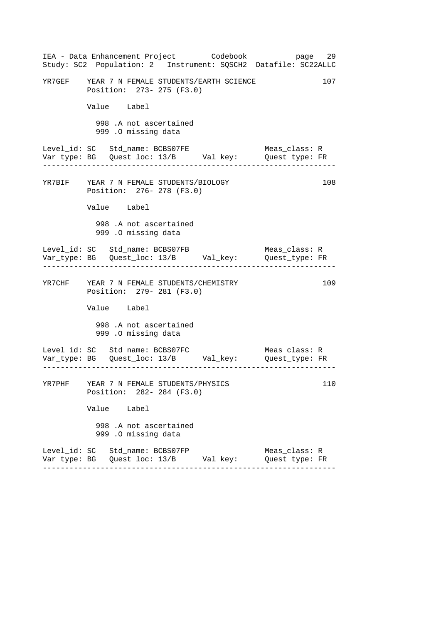| IEA - Data Enhancement Project Codebook<br>Study: SC2 Population: 2 Instrument: SQSCH2 Datafile: SC22ALLC |  | page 29                         |     |
|-----------------------------------------------------------------------------------------------------------|--|---------------------------------|-----|
| YR7GEF YEAR 7 N FEMALE STUDENTS/EARTH SCIENCE<br>Position: 273- 275 (F3.0)                                |  |                                 | 107 |
| Value Label                                                                                               |  |                                 |     |
| 998 .A not ascertained<br>999 .0 missing data                                                             |  |                                 |     |
| Level_id: SC Std_name: BCBS07FE<br>Var_type: BG    Quest_loc: 13/B    Val_key:    Quest_type: FR          |  | Meas_class: R                   |     |
| YR7BIF YEAR 7 N FEMALE STUDENTS/BIOLOGY<br>Position: 276- 278 (F3.0)                                      |  |                                 | 108 |
| Value Label                                                                                               |  |                                 |     |
| 998 .A not ascertained<br>999 .O missing data                                                             |  |                                 |     |
| Level_id: SC Std_name: BCBS07FB                                                                           |  | Meas_class: R                   |     |
| YR7CHF YEAR 7 N FEMALE STUDENTS/CHEMISTRY<br>Position: 279- 281 (F3.0)                                    |  |                                 | 109 |
| Value Label                                                                                               |  |                                 |     |
| 998 .A not ascertained<br>999 .O missing data                                                             |  |                                 |     |
| Level_id: SC Std_name: BCBS07FC                                                                           |  | Meas_class: R                   |     |
| YR7PHF YEAR 7 N FEMALE STUDENTS/PHYSICS<br>Position: 282- 284 (F3.0)                                      |  |                                 | 110 |
| Value Label                                                                                               |  |                                 |     |
| 998 .A not ascertained<br>999 .O missing data                                                             |  |                                 |     |
| Level_id: SC Std_name: BCBS07FP<br>Var_type: BG   Quest_loc: 13/B        Val_key:                         |  | Meas_class: R<br>Quest_type: FR |     |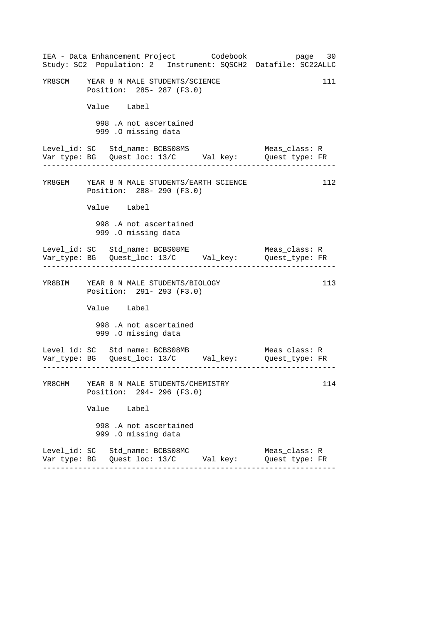|        |                                                                    | IEA - Data Enhancement Project Codebook        | page 30<br>Study: SC2 Population: 2 Instrument: SQSCH2 Datafile: SC22ALLC      |     |
|--------|--------------------------------------------------------------------|------------------------------------------------|--------------------------------------------------------------------------------|-----|
|        | YR8SCM YEAR 8 N MALE STUDENTS/SCIENCE<br>Position: 285- 287 (F3.0) |                                                |                                                                                | 111 |
|        | Value Label                                                        |                                                |                                                                                |     |
|        | 998 .A not ascertained<br>999 .O missing data                      |                                                |                                                                                |     |
|        | Level_id: SC Std_name: BCBS08MS                                    |                                                | Meas_class: R<br>Var_type: BG    Quest_loc: 13/C    Val_key:    Quest_type: FR |     |
|        | Position: 288- 290 (F3.0)                                          | YR8GEM YEAR 8 N MALE STUDENTS/EARTH SCIENCE    |                                                                                | 112 |
|        | Value Label                                                        |                                                |                                                                                |     |
|        | 998 .A not ascertained<br>999 .0 missing data                      |                                                |                                                                                |     |
|        | Level_id: SC Std_name: BCBS08ME                                    |                                                | Meas_class: R<br>Var_type: BG    Quest_loc: 13/C    Val_key:    Quest_type: FR |     |
|        | YR8BIM YEAR 8 N MALE STUDENTS/BIOLOGY<br>Position: 291- 293 (F3.0) |                                                |                                                                                | 113 |
|        | Value Label                                                        |                                                |                                                                                |     |
|        | 998 .A not ascertained<br>999 .O missing data                      |                                                |                                                                                |     |
|        | Level_id: SC Std_name: BCBS08MB                                    |                                                | Meas_class: R<br>Var_type: BG    Quest_loc: 13/C    Val_key:    Quest_type: FR |     |
| YR8CHM | YEAR 8 N MALE STUDENTS/CHEMISTRY<br>Position: 294- 296 (F3.0)      |                                                |                                                                                | 114 |
|        | Value Label                                                        |                                                |                                                                                |     |
|        | 998 .A not ascertained<br>999 .O missing data                      |                                                |                                                                                |     |
|        | Level_id: SC Std_name: BCBS08MC                                    | Var_type: BG   Quest_loc: 13/C        Val_key: | Meas_class: R<br>Quest_type: FR                                                |     |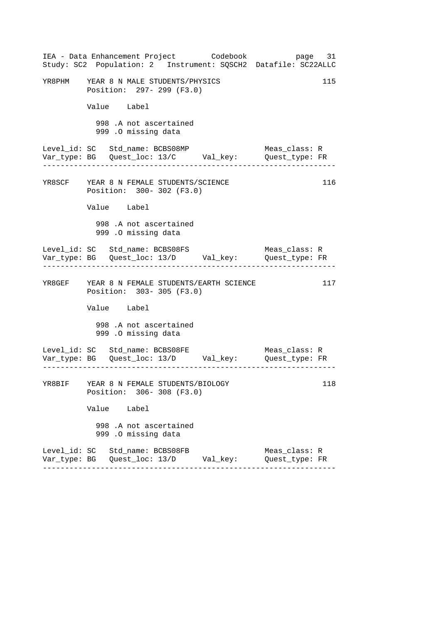|                                         |                                               | IEA - Data Enhancement Project Codebook<br>Study: SC2 Population: 2 Instrument: SQSCH2 Datafile: SC22ALLC |                                 | page 31 |
|-----------------------------------------|-----------------------------------------------|-----------------------------------------------------------------------------------------------------------|---------------------------------|---------|
| YR8PHM YEAR 8 N MALE STUDENTS/PHYSICS   | Position: 297- 299 (F3.0)                     |                                                                                                           |                                 | 115     |
|                                         | Value Label                                   |                                                                                                           |                                 |         |
|                                         | 998 .A not ascertained<br>999 .O missing data |                                                                                                           |                                 |         |
| Level_id: SC Std_name: BCBS08MP         |                                               |                                                                                                           | Meas_class: R                   |         |
| YR8SCF YEAR 8 N FEMALE STUDENTS/SCIENCE | Position: 300- 302 (F3.0)                     |                                                                                                           |                                 | 116     |
|                                         | Value Label                                   |                                                                                                           |                                 |         |
|                                         | 998 .A not ascertained<br>999 .O missing data |                                                                                                           |                                 |         |
| Level_id: SC Std_name: BCBS08FS         |                                               |                                                                                                           | Meas_class: R                   |         |
|                                         | Position: 303-305 (F3.0)                      | YR8GEF YEAR 8 N FEMALE STUDENTS/EARTH SCIENCE                                                             |                                 | 117     |
|                                         | Value Label                                   |                                                                                                           |                                 |         |
|                                         | 998 .A not ascertained<br>999 .O missing data |                                                                                                           |                                 |         |
| Level_id: SC Std_name: BCBS08FE         |                                               |                                                                                                           | Meas_class: R                   |         |
| YR8BIF YEAR 8 N FEMALE STUDENTS/BIOLOGY | Position: 306-308 (F3.0)                      |                                                                                                           |                                 | 118     |
|                                         | Value Label                                   |                                                                                                           |                                 |         |
|                                         | 998 .A not ascertained<br>999 .O missing data |                                                                                                           |                                 |         |
| Level_id: SC Std_name: BCBS08FB         |                                               | Var_type: BG   Quest_loc: 13/D        Val_key:                                                            | Meas_class: R<br>Quest_type: FR |         |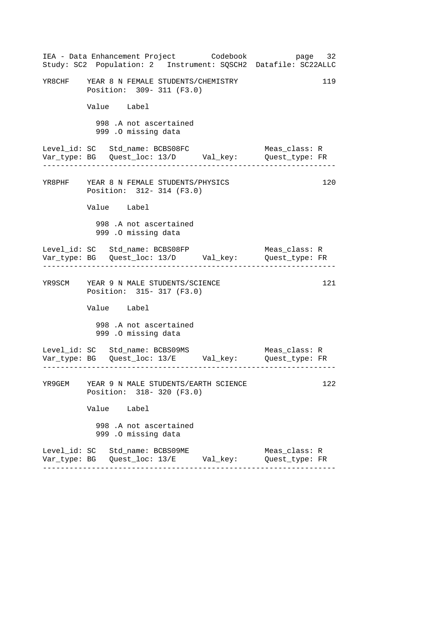|                                           |             |                     |                           | IEA - Data Enhancement Project Codebook     | page 32<br>Study: SC2 Population: 2 Instrument: SQSCH2 Datafile: SC22ALLC                                         |     |
|-------------------------------------------|-------------|---------------------|---------------------------|---------------------------------------------|-------------------------------------------------------------------------------------------------------------------|-----|
| YR8CHF YEAR 8 N FEMALE STUDENTS/CHEMISTRY |             |                     | Position: 309-311 (F3.0)  |                                             |                                                                                                                   | 119 |
|                                           | Value Label |                     |                           |                                             |                                                                                                                   |     |
|                                           |             | 999 .O missing data | 998 .A not ascertained    |                                             |                                                                                                                   |     |
| Level_id: SC Std_name: BCBS08FC           |             |                     |                           |                                             | Meas_class: R<br>Var_type: BG    Quest_loc: 13/D    Val_key:    Quest_type: FR                                    |     |
| YR8PHF YEAR 8 N FEMALE STUDENTS/PHYSICS   |             |                     | Position: 312- 314 (F3.0) |                                             |                                                                                                                   | 120 |
|                                           | Value Label |                     |                           |                                             |                                                                                                                   |     |
|                                           |             | 999 .O missing data | 998 .A not ascertained    |                                             |                                                                                                                   |     |
| Level_id: SC Std_name: BCBS08FP           |             |                     |                           |                                             | Meas_class: R<br>Var_type: BG    Quest_loc: 13/D    Val_key:    Quest_type: FR<br>. _ _ _ _ _ _ _ _ _ _ _ _ _ _ _ |     |
| YR9SCM YEAR 9 N MALE STUDENTS/SCIENCE     |             |                     | Position: 315- 317 (F3.0) |                                             |                                                                                                                   | 121 |
|                                           | Value Label |                     |                           |                                             |                                                                                                                   |     |
|                                           |             | 999 .O missing data | 998 .A not ascertained    |                                             |                                                                                                                   |     |
| Level_id: SC Std_name: BCBS09MS           |             |                     |                           |                                             | Meas_class: R                                                                                                     |     |
|                                           |             |                     | Position: 318- 320 (F3.0) | YR9GEM YEAR 9 N MALE STUDENTS/EARTH SCIENCE |                                                                                                                   | 122 |
|                                           | Value Label |                     |                           |                                             |                                                                                                                   |     |
|                                           |             | 999 .O missing data | 998 .A not ascertained    |                                             |                                                                                                                   |     |
| Level_id: SC Std_name: BCBS09ME           |             |                     |                           |                                             | Meas_class: R<br>Quest_type: FR                                                                                   |     |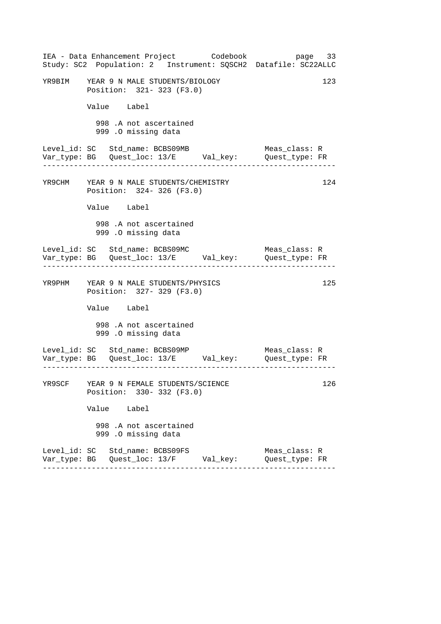|        | IEA - Data Enhancement Project Codebook<br>Study: SC2 Population: 2 Instrument: SQSCH2 Datafile: SC22ALLC | page 33                         |
|--------|-----------------------------------------------------------------------------------------------------------|---------------------------------|
|        | YR9BIM YEAR 9 N MALE STUDENTS/BIOLOGY<br>Position: 321- 323 (F3.0)                                        | 123                             |
|        | Value Label                                                                                               |                                 |
|        | 998 .A not ascertained<br>999 .O missing data                                                             |                                 |
|        | Level_id: SC Std_name: BCBS09MB<br>Var_type: BG    Quest_loc: 13/E    Val_key:    Quest_type: FR          | Meas_class: R                   |
|        | YR9CHM YEAR 9 N MALE STUDENTS/CHEMISTRY<br>Position: 324-326 (F3.0)                                       | 124                             |
|        | Value Label                                                                                               |                                 |
|        | 998 .A not ascertained<br>999 .O missing data                                                             |                                 |
|        | Level_id: SC Std_name: BCBS09MC<br>Var_type: BG    Quest_loc: 13/E    Val_key:    Quest_type: FR          | Meas_class: R                   |
|        | YR9PHM YEAR 9 N MALE STUDENTS/PHYSICS<br>Position: 327- 329 (F3.0)                                        | 125                             |
|        | Value Label                                                                                               |                                 |
|        | 998 .A not ascertained<br>999 .O missing data                                                             |                                 |
|        | Level_id: SC Std_name: BCBS09MP<br>Var_type: BG Quest_loc: 13/E    Val_key:    Quest_type: FR             | Meas_class: R                   |
| YR9SCF | YEAR 9 N FEMALE STUDENTS/SCIENCE<br>Position: 330- 332 (F3.0)                                             | 126                             |
|        | Value Label                                                                                               |                                 |
|        | 998 .A not ascertained<br>999 .O missing data                                                             |                                 |
|        | Level_id: SC Std_name: BCBS09FS<br>Var_type: BG    Quest_loc: 13/F        Val_key:                        | Meas_class: R<br>Quest_type: FR |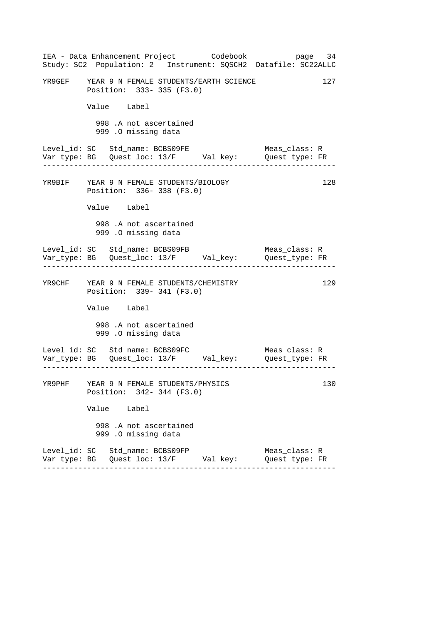| IEA - Data Enhancement Project Codebook<br>Study: SC2 Population: 2 Instrument: SQSCH2 Datafile: SC22ALLC | page 34                         |
|-----------------------------------------------------------------------------------------------------------|---------------------------------|
| YR9GEF YEAR 9 N FEMALE STUDENTS/EARTH SCIENCE<br>Position: 333-335 (F3.0)                                 | 127                             |
| Value Label                                                                                               |                                 |
| 998 .A not ascertained<br>999 .0 missing data                                                             |                                 |
| Level_id: SC Std_name: BCBS09FE<br>Var_type: BG    Quest_loc: 13/F    Val_key:    Quest_type: FR          | Meas_class: R                   |
| YR9BIF YEAR 9 N FEMALE STUDENTS/BIOLOGY<br>Position: 336-338 (F3.0)                                       | 128                             |
| Value Label                                                                                               |                                 |
| 998 .A not ascertained<br>999 .O missing data                                                             |                                 |
| Level_id: SC Std_name: BCBS09FB                                                                           | Meas_class: R                   |
| YR9CHF YEAR 9 N FEMALE STUDENTS/CHEMISTRY<br>Position: 339-341 (F3.0)                                     | 129                             |
| Value Label                                                                                               |                                 |
| 998 .A not ascertained<br>999 .O missing data                                                             |                                 |
| Level_id: SC Std_name: BCBS09FC                                                                           | Meas_class: R                   |
| YR9PHF YEAR 9 N FEMALE STUDENTS/PHYSICS<br>Position: 342- 344 (F3.0)                                      | 130                             |
| Value Label                                                                                               |                                 |
| 998 .A not ascertained<br>999 .O missing data                                                             |                                 |
| Level_id: SC Std_name: BCBS09FP<br>Var_type: BG   Quest_loc: 13/F        Val_key:                         | Meas_class: R<br>Quest_type: FR |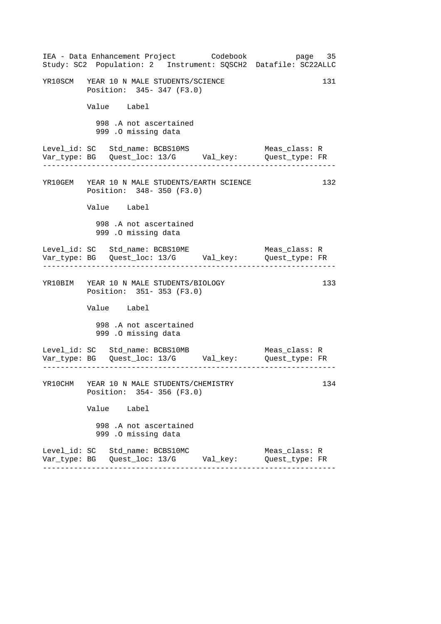|  | IEA - Data Enhancement Project Codebook<br>Study: SC2 Population: 2 Instrument: SQSCH2 Datafile: SC22ALLC |  |                                 | page 35 |  |
|--|-----------------------------------------------------------------------------------------------------------|--|---------------------------------|---------|--|
|  | YR10SCM YEAR 10 N MALE STUDENTS/SCIENCE<br>Position: 345- 347 (F3.0)                                      |  |                                 | 131     |  |
|  | Value Label                                                                                               |  |                                 |         |  |
|  | 998 .A not ascertained<br>999 .O missing data                                                             |  |                                 |         |  |
|  | Level_id: SC Std_name: BCBS10MS                                                                           |  | Meas_class: R                   |         |  |
|  | YR10GEM YEAR 10 N MALE STUDENTS/EARTH SCIENCE<br>Position: 348- 350 (F3.0)                                |  |                                 | 132     |  |
|  | Value Label                                                                                               |  |                                 |         |  |
|  | 998 .A not ascertained<br>999 .O missing data                                                             |  |                                 |         |  |
|  | Level_id: SC Std_name: BCBS10ME                                                                           |  | Meas_class: R                   |         |  |
|  | YR10BIM YEAR 10 N MALE STUDENTS/BIOLOGY<br>Position: 351-353 (F3.0)                                       |  |                                 | 133     |  |
|  | Value Label                                                                                               |  |                                 |         |  |
|  | 998 .A not ascertained<br>999 .O missing data                                                             |  |                                 |         |  |
|  | Level_id: SC Std_name: BCBS10MB                                                                           |  | Meas_class: R                   |         |  |
|  | YR10CHM YEAR 10 N MALE STUDENTS/CHEMISTRY<br>Position: 354-356 (F3.0)                                     |  |                                 | 134     |  |
|  | Value Label                                                                                               |  |                                 |         |  |
|  | 998 .A not ascertained<br>999 .O missing data                                                             |  |                                 |         |  |
|  | Level_id: SC Std_name: BCBS10MC<br>Var_type: BG   Quest_loc: 13/G        Val_key:                         |  | Meas class: R<br>Quest_type: FR |         |  |
|  |                                                                                                           |  |                                 |         |  |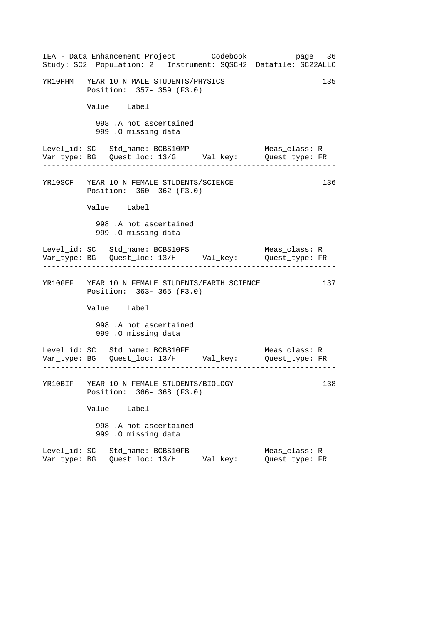|  | IEA - Data Enhancement Project Codebook<br>Study: SC2 Population: 2 Instrument: SQSCH2 Datafile: SC22ALLC |  |                                 | page 36 |
|--|-----------------------------------------------------------------------------------------------------------|--|---------------------------------|---------|
|  | YR10PHM YEAR 10 N MALE STUDENTS/PHYSICS<br>Position: 357- 359 (F3.0)                                      |  |                                 | 135     |
|  | Value Label                                                                                               |  |                                 |         |
|  | 998 .A not ascertained<br>999 .O missing data                                                             |  |                                 |         |
|  | Level_id: SC Std_name: BCBS10MP                                                                           |  | Meas_class: R                   |         |
|  | YR10SCF YEAR 10 N FEMALE STUDENTS/SCIENCE<br>Position: 360-362 (F3.0)                                     |  |                                 | 136     |
|  | Value Label                                                                                               |  |                                 |         |
|  | 998 .A not ascertained<br>999 .O missing data                                                             |  |                                 |         |
|  | Level_id: SC Std_name: BCBS10FS                                                                           |  | Meas_class: R                   |         |
|  | YR10GEF YEAR 10 N FEMALE STUDENTS/EARTH SCIENCE<br>Position: 363-365 (F3.0)                               |  |                                 | 137     |
|  | Value Label                                                                                               |  |                                 |         |
|  | 998 .A not ascertained<br>999 .O missing data                                                             |  |                                 |         |
|  | Level_id: SC Std_name: BCBS10FE                                                                           |  | Meas_class: R                   |         |
|  | YR10BIF YEAR 10 N FEMALE STUDENTS/BIOLOGY<br>Position: 366-368 (F3.0)                                     |  |                                 | 138     |
|  | Value Label                                                                                               |  |                                 |         |
|  | 998 .A not ascertained<br>999 .O missing data                                                             |  |                                 |         |
|  | Level_id: SC Std_name: BCBS10FB<br>Var_type: BG   Quest_loc: 13/H       Val_key:                          |  | Meas_class: R<br>Quest_type: FR |         |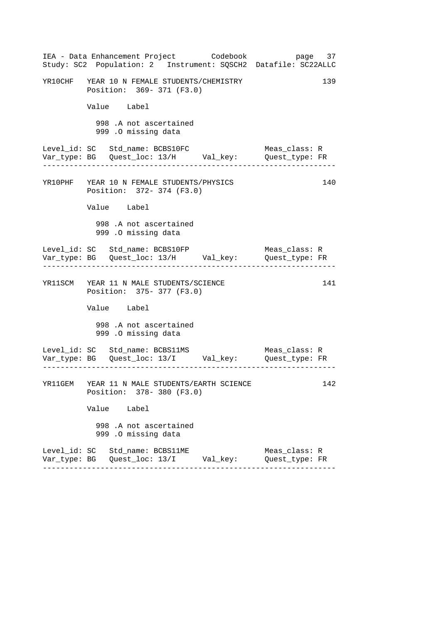|  |                                                                          | IEA - Data Enhancement Project Codebook       | page 37<br>Study: SC2 Population: 2 Instrument: SQSCH2 Datafile: SC22ALLC      |     |
|--|--------------------------------------------------------------------------|-----------------------------------------------|--------------------------------------------------------------------------------|-----|
|  | YR10CHF YEAR 10 N FEMALE STUDENTS/CHEMISTRY<br>Position: 369- 371 (F3.0) |                                               |                                                                                | 139 |
|  | Value Label                                                              |                                               |                                                                                |     |
|  | 998 .A not ascertained<br>999 .O missing data                            |                                               |                                                                                |     |
|  | Level_id: SC Std_name: BCBS10FC                                          |                                               | Meas_class: R<br>Var_type: BG    Quest_loc: 13/H    Val_key:    Quest_type: FR |     |
|  | YR10PHF YEAR 10 N FEMALE STUDENTS/PHYSICS<br>Position: 372- 374 (F3.0)   |                                               |                                                                                | 140 |
|  | Value Label                                                              |                                               |                                                                                |     |
|  | 998 .A not ascertained<br>999 .0 missing data                            |                                               |                                                                                |     |
|  | Level_id: SC Std_name: BCBS10FP                                          |                                               | Meas_class: R<br>. Le celes de la celes de la c                                |     |
|  | YR11SCM YEAR 11 N MALE STUDENTS/SCIENCE<br>Position: 375- 377 (F3.0)     |                                               |                                                                                | 141 |
|  | Value Label                                                              |                                               |                                                                                |     |
|  | 998 .A not ascertained<br>999 .O missing data                            |                                               |                                                                                |     |
|  | Level_id: SC Std_name: BCBS11MS                                          |                                               | Meas_class: R                                                                  |     |
|  | Position: 378- 380 (F3.0)                                                | YR11GEM YEAR 11 N MALE STUDENTS/EARTH SCIENCE |                                                                                | 142 |
|  | Value Label                                                              |                                               |                                                                                |     |
|  | 998 .A not ascertained<br>999 .O missing data                            |                                               |                                                                                |     |
|  | Level_id: SC Std_name: BCBS11ME                                          |                                               | Meas_class: R<br>Quest_type: FR                                                |     |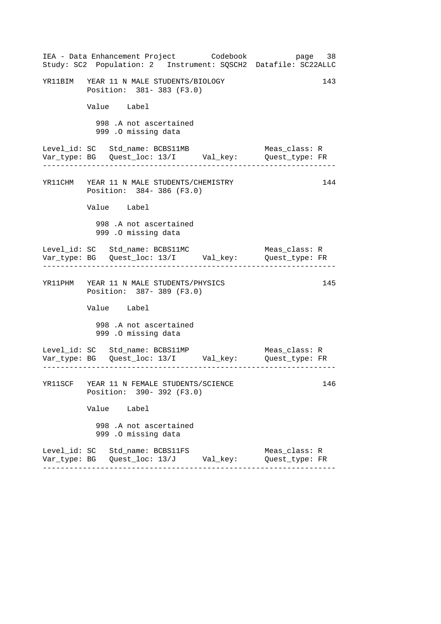|  | IEA - Data Enhancement Project Codebook<br>Study: SC2 Population: 2 Instrument: SQSCH2 Datafile: SC22ALLC |  |                                 | page 38 |     |
|--|-----------------------------------------------------------------------------------------------------------|--|---------------------------------|---------|-----|
|  | YR11BIM YEAR 11 N MALE STUDENTS/BIOLOGY<br>Position: 381- 383 (F3.0)                                      |  |                                 |         | 143 |
|  | Value Label                                                                                               |  |                                 |         |     |
|  | 998 .A not ascertained<br>999 .O missing data                                                             |  |                                 |         |     |
|  | Level_id: SC Std_name: BCBS11MB<br>Var_type: BG    Quest_loc: 13/I    Val_key:    Quest_type: FR          |  | Meas_class: R                   |         |     |
|  | YR11CHM YEAR 11 N MALE STUDENTS/CHEMISTRY<br>Position: 384-386 (F3.0)                                     |  |                                 |         | 144 |
|  | Value Label                                                                                               |  |                                 |         |     |
|  | 998 .A not ascertained<br>999 .0 missing data                                                             |  |                                 |         |     |
|  | Level_id: SC Std_name: BCBS11MC                                                                           |  | Meas_class: R                   |         |     |
|  | YR11PHM YEAR 11 N MALE STUDENTS/PHYSICS<br>Position: 387- 389 (F3.0)                                      |  |                                 |         | 145 |
|  | Value Label                                                                                               |  |                                 |         |     |
|  | 998 .A not ascertained<br>999 .O missing data                                                             |  |                                 |         |     |
|  | Level_id: SC Std_name: BCBS11MP<br>Var_type: BG Quest_loc: 13/I Val_key: Quest_type: FR                   |  | Meas_class: R                   |         |     |
|  | YR11SCF YEAR 11 N FEMALE STUDENTS/SCIENCE<br>Position: 390- 392 (F3.0)                                    |  |                                 |         | 146 |
|  | Value Label                                                                                               |  |                                 |         |     |
|  | 998 .A not ascertained<br>999 .O missing data                                                             |  |                                 |         |     |
|  | Level_id: SC Std_name: BCBS11FS<br>Var_type: BG   Quest_loc: 13/J      Val_key:                           |  | Meas_class: R<br>Quest_type: FR |         |     |
|  |                                                                                                           |  |                                 |         |     |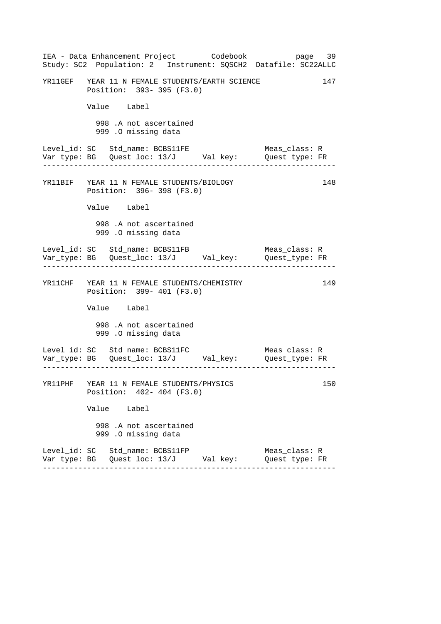|  |                                                                          | IEA - Data Enhancement Project       Codebook   | Study: SC2 Population: 2 Instrument: SQSCH2 Datafile: SC22ALLC | page 39 |
|--|--------------------------------------------------------------------------|-------------------------------------------------|----------------------------------------------------------------|---------|
|  | Position: 393- 395 (F3.0)                                                | YR11GEF YEAR 11 N FEMALE STUDENTS/EARTH SCIENCE |                                                                | 147     |
|  | Value Label                                                              |                                                 |                                                                |         |
|  | 998 .A not ascertained<br>999 .O missing data                            |                                                 |                                                                |         |
|  | Level_id: SC   Std_name: BCBS11FE                                        |                                                 | Meas_class: R                                                  |         |
|  | YR11BIF YEAR 11 N FEMALE STUDENTS/BIOLOGY<br>Position: 396-398 (F3.0)    |                                                 |                                                                | 148     |
|  | Value Label                                                              |                                                 |                                                                |         |
|  | 998 .A not ascertained<br>999 .O missing data                            |                                                 |                                                                |         |
|  |                                                                          |                                                 | Meas_class: R                                                  |         |
|  | YR11CHF YEAR 11 N FEMALE STUDENTS/CHEMISTRY<br>Position: 399- 401 (F3.0) |                                                 |                                                                | 149     |
|  | Value Label                                                              |                                                 |                                                                |         |
|  | 998 .A not ascertained<br>999 .O missing data                            |                                                 |                                                                |         |
|  |                                                                          |                                                 | Meas_class: R                                                  |         |
|  | YR11PHF YEAR 11 N FEMALE STUDENTS/PHYSICS<br>Position: 402- 404 (F3.0)   |                                                 |                                                                | 150     |
|  | Value Label                                                              |                                                 |                                                                |         |
|  | 998 .A not ascertained<br>999 .O missing data                            |                                                 |                                                                |         |
|  | Level_id: SC Std_name: BCBS11FP                                          | Var_type: BG   Quest_loc: 13/J        Val_key:  | Meas_class: R<br>Quest_type: FR                                |         |
|  |                                                                          |                                                 |                                                                |         |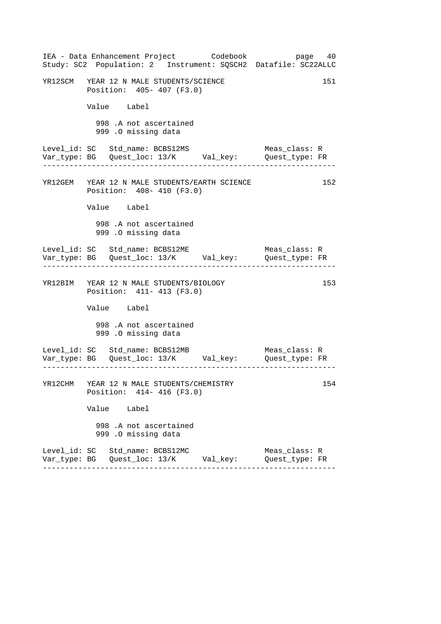|  | IEA - Data Enhancement Project Codebook<br>Study: SC2 Population: 2 Instrument: SQSCH2 Datafile: SC22ALLC |  |                                 | page 40 |     |
|--|-----------------------------------------------------------------------------------------------------------|--|---------------------------------|---------|-----|
|  | YR12SCM YEAR 12 N MALE STUDENTS/SCIENCE<br>Position: 405- 407 (F3.0)                                      |  |                                 |         | 151 |
|  | Value Label                                                                                               |  |                                 |         |     |
|  | 998 .A not ascertained<br>999 .O missing data                                                             |  |                                 |         |     |
|  | Level_id: SC Std_name: BCBS12MS                                                                           |  | Meas_class: R                   |         |     |
|  | YR12GEM YEAR 12 N MALE STUDENTS/EARTH SCIENCE<br>Position: 408- 410 (F3.0)                                |  |                                 |         | 152 |
|  | Value Label                                                                                               |  |                                 |         |     |
|  | 998 .A not ascertained<br>999 .O missing data                                                             |  |                                 |         |     |
|  | Level_id: SC Std_name: BCBS12ME                                                                           |  | Meas_class: R                   |         |     |
|  | YR12BIM YEAR 12 N MALE STUDENTS/BIOLOGY<br>Position: 411- 413 (F3.0)                                      |  |                                 |         | 153 |
|  | Value Label                                                                                               |  |                                 |         |     |
|  | 998 .A not ascertained<br>999 .O missing data                                                             |  |                                 |         |     |
|  | Level_id: SC Std_name: BCBS12MB                                                                           |  | Meas_class: R                   |         |     |
|  | YR12CHM YEAR 12 N MALE STUDENTS/CHEMISTRY<br>Position: 414-416 (F3.0)                                     |  |                                 |         | 154 |
|  | Value Label                                                                                               |  |                                 |         |     |
|  | 998 .A not ascertained<br>999 .O missing data                                                             |  |                                 |         |     |
|  | Level_id: SC Std_name: BCBS12MC<br>Var_type: BG   Quest_loc: 13/K      Val_key:                           |  | Meas_class: R<br>Quest_type: FR |         |     |
|  |                                                                                                           |  |                                 |         |     |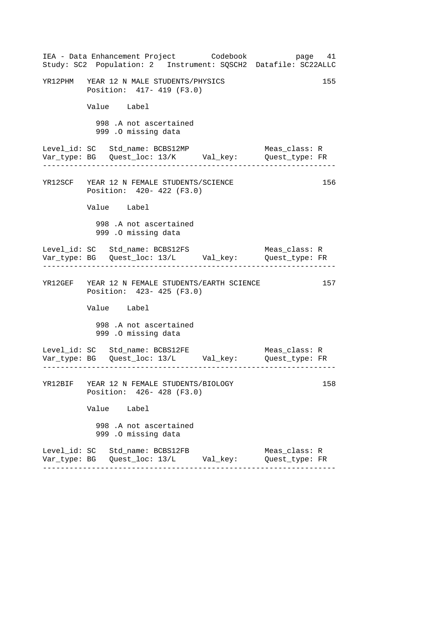|  | IEA - Data Enhancement Project Codebook                                         |  | page 41<br>Study: SC2 Population: 2 Instrument: SQSCH2 Datafile: SC22ALLC |     |
|--|---------------------------------------------------------------------------------|--|---------------------------------------------------------------------------|-----|
|  | YR12PHM YEAR 12 N MALE STUDENTS/PHYSICS<br>Position: 417- 419 (F3.0)            |  |                                                                           | 155 |
|  | Value Label                                                                     |  |                                                                           |     |
|  | 998 .A not ascertained<br>999 .O missing data                                   |  |                                                                           |     |
|  | Level_id: SC Std_name: BCBS12MP                                                 |  | Meas class: R                                                             |     |
|  | YR12SCF YEAR 12 N FEMALE STUDENTS/SCIENCE<br>Position: 420- 422 (F3.0)          |  |                                                                           | 156 |
|  | Value Label                                                                     |  |                                                                           |     |
|  | 998 .A not ascertained<br>999 .O missing data                                   |  |                                                                           |     |
|  | Level_id: SC Std_name: BCBS12FS                                                 |  | Meas_class: R                                                             |     |
|  | YR12GEF YEAR 12 N FEMALE STUDENTS/EARTH SCIENCE<br>Position: 423- 425 (F3.0)    |  |                                                                           | 157 |
|  | Value Label                                                                     |  |                                                                           |     |
|  | 998 .A not ascertained<br>999 .O missing data                                   |  |                                                                           |     |
|  | Level_id: SC Std_name: BCBS12FE                                                 |  | Meas_class: R                                                             |     |
|  | YR12BIF YEAR 12 N FEMALE STUDENTS/BIOLOGY<br>Position: 426- 428 (F3.0)          |  |                                                                           | 158 |
|  | Value Label                                                                     |  |                                                                           |     |
|  | 998 .A not ascertained<br>999 .O missing data                                   |  |                                                                           |     |
|  | Level_id: SC Std_name: BCBS12FB<br>Var_type: BG   Quest_loc: 13/L      Val_key: |  | Meas_class: R<br>Quest_type: FR                                           |     |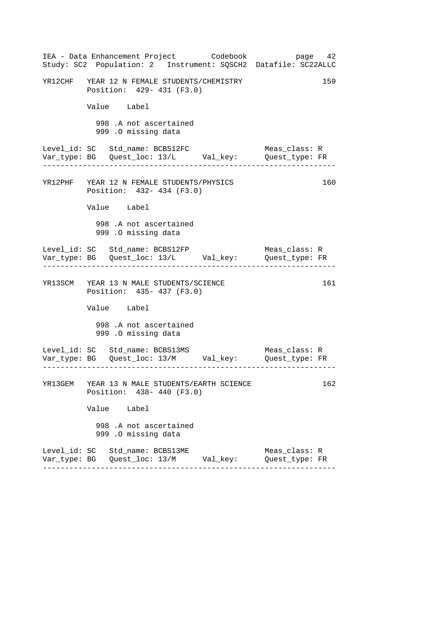|  |                                                                          | IEA - Data Enhancement Project Codebook       | page 42<br>Study: SC2 Population: 2 Instrument: SQSCH2 Datafile: SC22ALLC      |     |
|--|--------------------------------------------------------------------------|-----------------------------------------------|--------------------------------------------------------------------------------|-----|
|  | YR12CHF YEAR 12 N FEMALE STUDENTS/CHEMISTRY<br>Position: 429- 431 (F3.0) |                                               |                                                                                | 159 |
|  | Value Label                                                              |                                               |                                                                                |     |
|  | 998 .A not ascertained<br>999 .O missing data                            |                                               |                                                                                |     |
|  | Level_id: SC Std_name: BCBS12FC                                          |                                               | Meas_class: R<br>Var_type: BG    Quest_loc: 13/L    Val_key:    Quest_type: FR |     |
|  | YR12PHF YEAR 12 N FEMALE STUDENTS/PHYSICS<br>Position: 432- 434 (F3.0)   |                                               |                                                                                | 160 |
|  | Value Label                                                              |                                               |                                                                                |     |
|  | 998 .A not ascertained<br>999 .O missing data                            |                                               |                                                                                |     |
|  | Level_id: SC Std_name: BCBS12FP                                          |                                               | Meas_class: R<br>. Lie die Liede Liede Liede                                   |     |
|  | YR13SCM YEAR 13 N MALE STUDENTS/SCIENCE<br>Position: 435- 437 (F3.0)     |                                               |                                                                                | 161 |
|  | Value Label                                                              |                                               |                                                                                |     |
|  | 998 .A not ascertained<br>999 .O missing data                            |                                               |                                                                                |     |
|  | Level_id: SC Std_name: BCBS13MS                                          |                                               | Meas_class: R                                                                  |     |
|  | Position: 438- 440 (F3.0)                                                | YR13GEM YEAR 13 N MALE STUDENTS/EARTH SCIENCE |                                                                                | 162 |
|  | Value Label                                                              |                                               |                                                                                |     |
|  | 998 .A not ascertained<br>999 .O missing data                            |                                               |                                                                                |     |
|  | Level_id: SC Std_name: BCBS13ME                                          |                                               | Meas_class: R<br>Quest_type: FR                                                |     |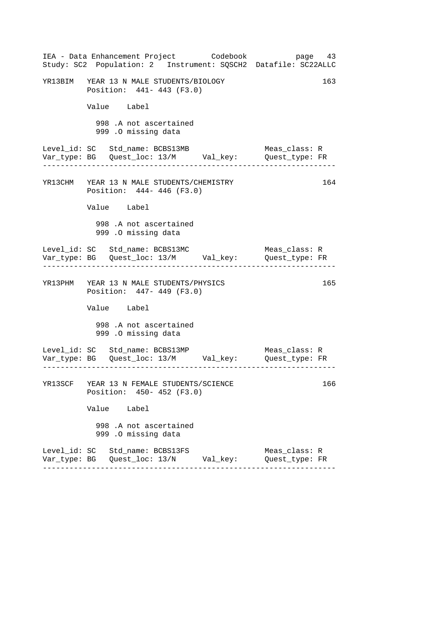|  | IEA - Data Enhancement Project Codebook<br>Study: SC2 Population: 2 Instrument: SQSCH2 Datafile: SC22ALLC |  |                                 | page 43 |
|--|-----------------------------------------------------------------------------------------------------------|--|---------------------------------|---------|
|  | YR13BIM YEAR 13 N MALE STUDENTS/BIOLOGY<br>Position: 441- 443 (F3.0)                                      |  |                                 | 163     |
|  | Value Label                                                                                               |  |                                 |         |
|  | 998 .A not ascertained<br>999 .O missing data                                                             |  |                                 |         |
|  | Level_id: SC Std_name: BCBS13MB                                                                           |  | Meas class: R                   |         |
|  | YR13CHM YEAR 13 N MALE STUDENTS/CHEMISTRY<br>Position: 444- 446 (F3.0)                                    |  |                                 | 164     |
|  | Value Label                                                                                               |  |                                 |         |
|  | 998 .A not ascertained<br>999 .O missing data                                                             |  |                                 |         |
|  | Level_id: SC Std_name: BCBS13MC                                                                           |  | Meas_class: R                   |         |
|  | YR13PHM YEAR 13 N MALE STUDENTS/PHYSICS<br>Position: 447- 449 (F3.0)                                      |  |                                 | 165     |
|  | Value Label                                                                                               |  |                                 |         |
|  | 998 .A not ascertained<br>999 .O missing data                                                             |  |                                 |         |
|  | Level_id: SC Std_name: BCBS13MP                                                                           |  | Meas_class: R                   |         |
|  | YR13SCF YEAR 13 N FEMALE STUDENTS/SCIENCE<br>Position: 450- 452 (F3.0)                                    |  |                                 | 166     |
|  | Value Label                                                                                               |  |                                 |         |
|  | 998 .A not ascertained<br>999 .O missing data                                                             |  |                                 |         |
|  | Level_id: SC Std_name: BCBS13FS<br>Var_type: BG   Quest_loc: 13/N        Val_key:                         |  | Meas class: R<br>Quest_type: FR |         |
|  |                                                                                                           |  |                                 |         |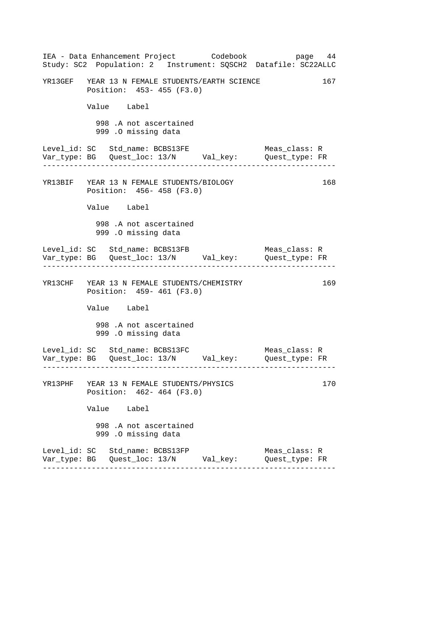|  |                                                                          | IEA - Data Enhancement Project       Codebook   | Study: SC2 Population: 2 Instrument: SQSCH2 Datafile: SC22ALLC | page 44 |
|--|--------------------------------------------------------------------------|-------------------------------------------------|----------------------------------------------------------------|---------|
|  | Position: 453- 455 (F3.0)                                                | YR13GEF YEAR 13 N FEMALE STUDENTS/EARTH SCIENCE |                                                                | 167     |
|  | Value Label                                                              |                                                 |                                                                |         |
|  | 998 .A not ascertained<br>999 .O missing data                            |                                                 |                                                                |         |
|  | Level_id: SC   Std_name: BCBS13FE                                        |                                                 | Meas_class: R                                                  |         |
|  | YR13BIF YEAR 13 N FEMALE STUDENTS/BIOLOGY<br>Position: 456-458 (F3.0)    |                                                 |                                                                | 168     |
|  | Value Label                                                              |                                                 |                                                                |         |
|  | 998 .A not ascertained<br>999 .O missing data                            |                                                 |                                                                |         |
|  |                                                                          |                                                 | Meas_class: R                                                  |         |
|  | YR13CHF YEAR 13 N FEMALE STUDENTS/CHEMISTRY<br>Position: 459- 461 (F3.0) |                                                 |                                                                | 169     |
|  | Value Label                                                              |                                                 |                                                                |         |
|  | 998 .A not ascertained<br>999 .O missing data                            |                                                 |                                                                |         |
|  | Level_id: SC   Std_name: BCBS13FC                                        |                                                 | Meas_class: R                                                  |         |
|  | YR13PHF YEAR 13 N FEMALE STUDENTS/PHYSICS<br>Position: 462- 464 (F3.0)   |                                                 |                                                                | 170     |
|  | Value Label                                                              |                                                 |                                                                |         |
|  | 998 .A not ascertained<br>999 .O missing data                            |                                                 |                                                                |         |
|  | Level_id: SC Std_name: BCBS13FP                                          | Var_type: BG   Quest_loc: 13/N        Val_key:  | Meas_class: R<br>Quest_type: FR                                |         |
|  |                                                                          |                                                 |                                                                |         |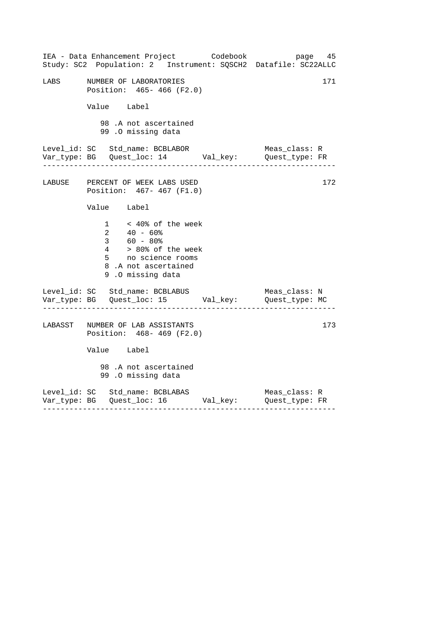|      | IEA - Data Enhancement Project Codebook<br>Study: SC2 Population: 2 Instrument: SQSCH2 Datafile: SC22ALLC                                                     | page 45                            |
|------|---------------------------------------------------------------------------------------------------------------------------------------------------------------|------------------------------------|
| LABS | NUMBER OF LABORATORIES<br>Position: 465- 466 (F2.0)                                                                                                           | 171                                |
|      | Value Label                                                                                                                                                   |                                    |
|      | 98 .A not ascertained<br>99.0 missing data                                                                                                                    |                                    |
|      |                                                                                                                                                               |                                    |
|      | LABUSE PERCENT OF WEEK LABS USED<br>Position: 467- 467 (F1.0)                                                                                                 | 172                                |
|      | Value Label                                                                                                                                                   |                                    |
|      | $1 \times 40$ % of the week<br>$2 40 - 60$ <sup>§</sup><br>3 60 - 80%<br>4 > 80% of the week<br>5 no science rooms<br>8.A not ascertained<br>9.0 missing data |                                    |
|      | Level_id: SC Std_name: BCBLABUS<br>Var_type: BG    Quest_loc: 15    Val_key:    Quest_type: MC                                                                | Meas_class: N                      |
|      | LABASST NUMBER OF LAB ASSISTANTS<br>Position: 468-469 (F2.0)                                                                                                  | 173                                |
|      | Value Label                                                                                                                                                   |                                    |
|      | 98 .A not ascertained<br>99 .0 missing data                                                                                                                   |                                    |
|      | Level_id: SC Std_name: BCBLABAS<br>Var_type: BG    Quest_loc: 16    Val_key:    Quest_type: FR                                                                | Meas_class: R<br>_________________ |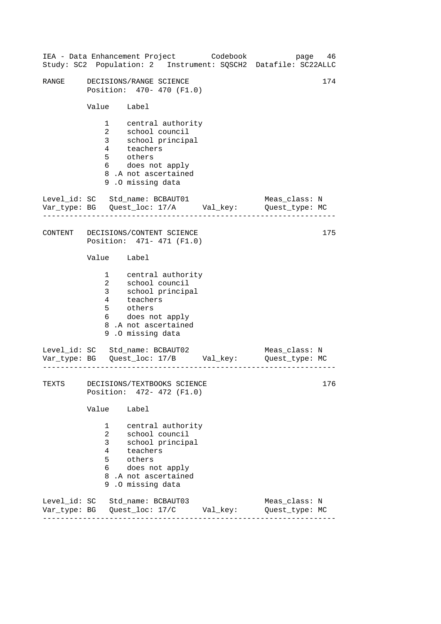|       | IEA - Data Enhancement Project Codebook<br>Study: SC2 Population: 2 Instrument: SQSCH2 Datafile: SC22ALLC                                                                                                                       | 46<br>page                      |
|-------|---------------------------------------------------------------------------------------------------------------------------------------------------------------------------------------------------------------------------------|---------------------------------|
| RANGE | DECISIONS/RANGE SCIENCE<br>Position: 470- 470 (F1.0)                                                                                                                                                                            | 174                             |
|       | Value Label                                                                                                                                                                                                                     |                                 |
|       | 1 central authority<br>$2^{\circ}$<br>school council<br>school<br>teachers<br>thers<br>thers<br>3 <sup>7</sup><br>school principal<br>$\overline{4}$<br>5 others<br>6 does not apply<br>8.A not ascertained<br>9.0 missing data |                                 |
|       | Level_id: SC Std_name: BCBAUT01<br>Var_type: BG    Quest_loc: 17/A    Val_key:    Quest_type: MC                                                                                                                                | Meas_class: N                   |
|       | CONTENT DECISIONS/CONTENT SCIENCE<br>Position: 471- 471 (F1.0)                                                                                                                                                                  | 175                             |
|       | Value Label                                                                                                                                                                                                                     |                                 |
|       | 1 central authority<br>$\overline{2}$<br>school count.<br>school principal<br>teachers<br>3 <sup>7</sup><br>$\overline{4}$<br>5 others<br>6 does not apply<br>8.A not ascertained<br>9.0 missing data                           |                                 |
|       | Level_id: SC Std_name: BCBAUT02<br>Var_type: BG    Quest_loc: 17/B    Val_key:    Quest_type: MC                                                                                                                                | Meas_class: N                   |
| TEXTS | DECISIONS/TEXTBOOKS SCIENCE<br>Position: 472- 472 (F1.0)                                                                                                                                                                        | 176                             |
|       | Value Label                                                                                                                                                                                                                     |                                 |
|       | 1<br>central authority<br>school council<br>$^{2}$<br>3 <sup>7</sup><br>school principal<br>4<br>teachers<br>others<br>5<br>does not apply<br>6<br>8.A not ascertained<br>9.0 missing data                                      |                                 |
|       | Level_id: SC Std_name: BCBAUT03                                                                                                                                                                                                 | Meas_class: N<br>Quest_type: MC |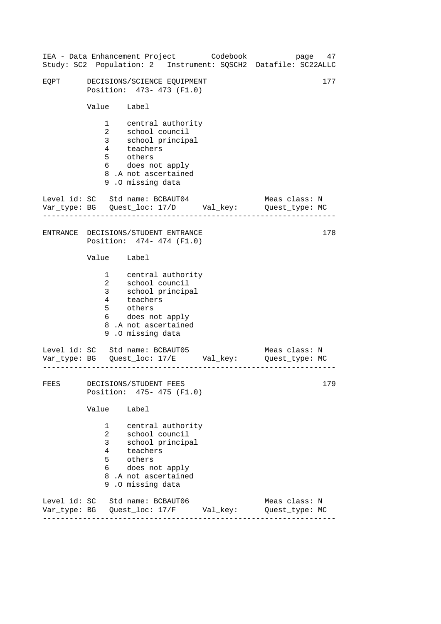| IEA - Data Enhancement Project Codebook |                                                               |                                                                                                                                                        |  | Study: SC2 Population: 2 Instrument: SQSCH2 Datafile: SC22ALLC                 | page 47 |
|-----------------------------------------|---------------------------------------------------------------|--------------------------------------------------------------------------------------------------------------------------------------------------------|--|--------------------------------------------------------------------------------|---------|
| EQPT                                    |                                                               | DECISIONS/SCIENCE EQUIPMENT<br>Position: 473- 473 (F1.0)                                                                                               |  |                                                                                | 177     |
|                                         | Value Label                                                   |                                                                                                                                                        |  |                                                                                |         |
|                                         |                                                               | 1 central authority<br>2 school council<br>3 school principal<br>4 teachers<br>5 others<br>6 does not apply<br>8.A not ascertained<br>9.0 missing data |  |                                                                                |         |
| Level_id: SC Std_name: BCBAUT04         | .                                                             |                                                                                                                                                        |  | Meas_class: N<br>Var_type: BG    Quest_loc: 17/D    Val_key:    Quest_type: MC |         |
| ENTRANCE DECISIONS/STUDENT ENTRANCE     |                                                               | Position: 474- 474 (F1.0)                                                                                                                              |  |                                                                                | 178     |
|                                         | Value Label                                                   |                                                                                                                                                        |  |                                                                                |         |
|                                         | $\overline{a}$<br>5                                           | 1 central authority<br>school council<br>3 school principal<br>4 teachers<br>others<br>6 does not apply<br>8.A not ascertained<br>9.0 missing data     |  |                                                                                |         |
| Level_id: SC Std_name: BCBAUT05         |                                                               |                                                                                                                                                        |  | Meas_class: N<br>Var_type: BG    Quest_loc: 17/E    Val_key:    Quest_type: MC |         |
| FEES DECISIONS/STUDENT FEES             |                                                               | Position: 475- 475 (F1.0)                                                                                                                              |  |                                                                                | 179     |
|                                         | Value                                                         | Label                                                                                                                                                  |  |                                                                                |         |
|                                         | $\mathbf{1}$<br>$\overline{a}$<br>$\mathbf{3}$<br>4<br>5<br>6 | central authority<br>school council<br>school principal<br>teachers<br>others<br>does not apply<br>8.A not ascertained<br>9.0 missing data             |  |                                                                                |         |
| Level_id: SC Std_name: BCBAUT06         |                                                               |                                                                                                                                                        |  | Meas_class: N<br>Quest_type: MC                                                |         |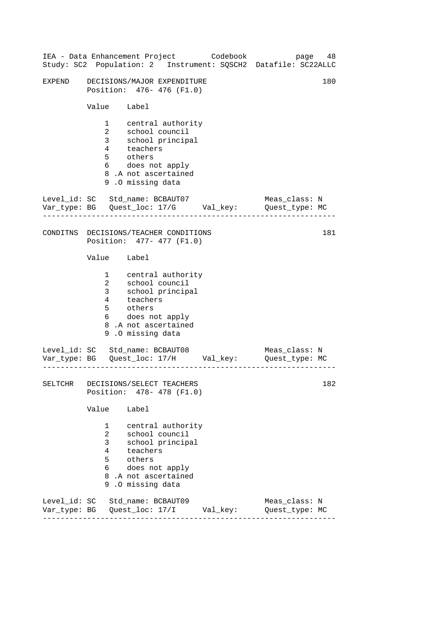|        |                                                                               | IEA - Data Enhancement Project Codebook                                                                                                                         |  | page<br>Study: SC2 Population: 2 Instrument: SQSCH2 Datafile: SC22ALLC         | 48  |
|--------|-------------------------------------------------------------------------------|-----------------------------------------------------------------------------------------------------------------------------------------------------------------|--|--------------------------------------------------------------------------------|-----|
| EXPEND |                                                                               | DECISIONS/MAJOR EXPENDITURE<br>Position: 476- 476 (F1.0)                                                                                                        |  |                                                                                | 180 |
|        | Value Label                                                                   |                                                                                                                                                                 |  |                                                                                |     |
|        | $\overline{a}$<br>5                                                           | 1 central authority<br>school council<br>3 school pi<br>4 teachers<br>school principal<br>others<br>6 does not apply<br>8.A not ascertained<br>9.0 missing data |  |                                                                                |     |
|        | <u> Liberalis Liberalis Libe</u>                                              | Level_id: SC Std_name: BCBAUT07                                                                                                                                 |  | Meas_class: N<br>Var_type: BG    Quest_loc: 17/G    Val_key:    Quest_type: MC |     |
|        |                                                                               | CONDITNS DECISIONS/TEACHER CONDITIONS<br>Position: 477- 477 (F1.0)                                                                                              |  |                                                                                | 181 |
|        | Value Label                                                                   |                                                                                                                                                                 |  |                                                                                |     |
|        | 5                                                                             | 1 central authority<br>2 school council<br>3 school principal<br>4 teachers<br>others<br>6 does not apply<br>8.A not ascertained<br>9.0 missing data            |  |                                                                                |     |
|        |                                                                               | Level_id: SC Std_name: BCBAUT08                                                                                                                                 |  | Meas_class: N<br>Var_type: BG    Quest_loc: 17/H    Val_key:    Quest_type: MC |     |
|        |                                                                               | SELTCHR DECISIONS/SELECT TEACHERS<br>Position: 478- 478 (F1.0)                                                                                                  |  |                                                                                | 182 |
|        | Value                                                                         | Label                                                                                                                                                           |  |                                                                                |     |
|        | $\mathbf{1}$<br>$\overline{a}$<br>3 <sup>7</sup><br>$4\overline{ }$<br>5<br>6 | central authority<br>school council<br>school principal<br>teachers<br>others<br>does not apply<br>8.A not ascertained<br>9.0 missing data                      |  |                                                                                |     |
|        |                                                                               | Level_id: SC Std_name: BCBAUT09                                                                                                                                 |  | Meas_class: N<br>Var_type: BG    Quest_loc: 17/I    Val_key:    Quest_type: MC |     |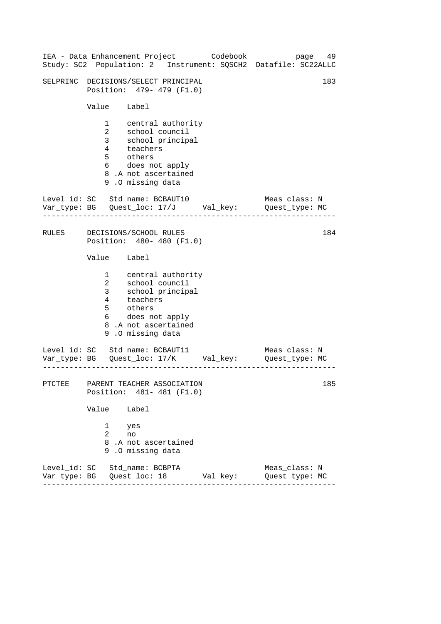|       |                            | IEA - Data Enhancement Project Codebook<br>Study: SC2 Population: 2 Instrument: SQSCH2 Datafile: SC22ALLC                                  | page 49                         |     |
|-------|----------------------------|--------------------------------------------------------------------------------------------------------------------------------------------|---------------------------------|-----|
|       |                            | SELPRINC DECISIONS/SELECT PRINCIPAL<br>Position: 479- 479 (F1.0)                                                                           |                                 | 183 |
|       | Value Label                |                                                                                                                                            |                                 |     |
|       | 5 others                   | 1 central authority<br>2 school council<br>3 school principal<br>4 teachers<br>6 does not apply<br>8.A not ascertained<br>9.0 missing data |                                 |     |
|       |                            | Level_id: SC Std_name: BCBAUT10<br>Var_type: BG    Quest_loc: 17/J    Val_key:    Quest_type: MC                                           | Meas_class: N                   |     |
| RULES |                            | DECISIONS/SCHOOL RULES<br>Position: 480- 480 (F1.0)                                                                                        |                                 | 184 |
|       | Value Label                |                                                                                                                                            |                                 |     |
|       | 3 <sup>7</sup><br>5 others | 1 central authority<br>2 school council<br>school principal<br>4 teachers<br>6 does not apply<br>8.A not ascertained<br>9.0 missing data   |                                 |     |
|       |                            | Level_id: SC Std_name: BCBAUT11<br>Var_type: BG    Quest_loc: 17/K    Val_key:    Quest_type: MC                                           | Meas_class: N                   |     |
|       |                            | PTCTEE PARENT TEACHER ASSOCIATION<br>Position: 481- 481 (F1.0)                                                                             |                                 | 185 |
|       | Value                      | Label                                                                                                                                      |                                 |     |
|       | 1<br>$\overline{2}$<br>no  | yes<br>8.A not ascertained<br>9.0 missing data                                                                                             |                                 |     |
|       |                            | Level_id: SC Std_name: BCBPTA                                                                                                              | Meas class: N<br>Quest_type: MC |     |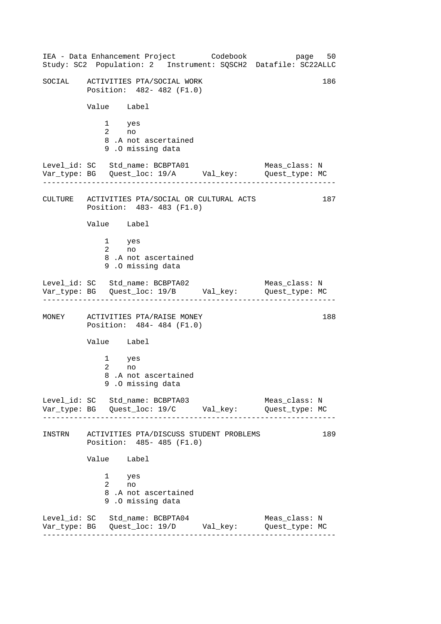------------------------------------------------------------------ ------------------------------------------------------------------ ------------------------------------------------------------------ ------------------------------------------------------------------ IEA - Data Enhancement Project Codebook page 50 Study: SC2 Population: 2 Instrument: SQSCH2 Datafile: SC22ALLC SOCIAL ACTIVITIES PTA/SOCIAL WORK 186 Position: 482- 482 (F1.0) Value Label 1 yes 2 no 8 .A not ascertained 9 .O missing data Level\_id: SC Std\_name: BCBPTA01 Meas\_class: N Var\_type: BG Quest\_loc: 19/A Val\_key: Quest\_type: MC CULTURE ACTIVITIES PTA/SOCIAL OR CULTURAL ACTS 187 Position: 483- 483 (F1.0) Value Label 1 yes 2 no 8 .A not ascertained 9 .O missing data Level\_id: SC Std\_name: BCBPTA02 Meas\_class: N Var\_type: BG Quest\_loc: 19/B Val\_key: Quest\_type: MC MONEY ACTIVITIES PTA/RAISE MONEY 188 Position: 484- 484 (F1.0) Value Label 1 yes 2 no 8 .A not ascertained 9 .O missing data Level id: SC Std name: BCBPTA03 Meas class: N Var\_type: BG Quest\_loc: 19/C Val\_key: Quest\_type: MC INSTRN ACTIVITIES PTA/DISCUSS STUDENT PROBLEMS 189 Position: 485- 485 (F1.0) Value Label 1 yes 2 no 8 .A not ascertained 9 .O missing data Level\_id: SC Std\_name: BCBPTA04 Meas\_class: N Var\_type: BG Quest\_loc: 19/D Val\_key: Quest\_type: MC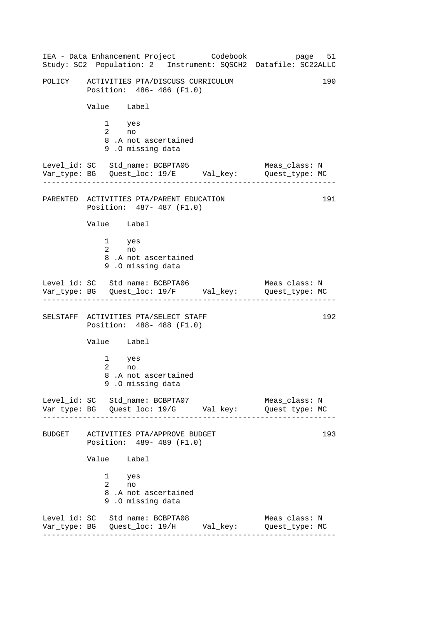------------------------------------------------------------------ ------------------------------------------------------------------ ------------------------------------------------------------------ ------------------------------------------------------------------ IEA - Data Enhancement Project Codebook page 51 Study: SC2 Population: 2 Instrument: SQSCH2 Datafile: SC22ALLC POLICY ACTIVITIES PTA/DISCUSS CURRICULUM 190 Position: 486- 486 (F1.0) Value Label 1 yes 2 no 8 .A not ascertained 9 .O missing data Level\_id: SC Std\_name: BCBPTA05 Meas\_class: N Var\_type: BG Quest\_loc: 19/E Val\_key: Quest\_type: MC PARENTED ACTIVITIES PTA/PARENT EDUCATION 191 Position: 487- 487 (F1.0) Value Label 1 yes 2 no 8 .A not ascertained 9 .O missing data Level\_id: SC Std\_name: BCBPTA06 Meas\_class: N Var\_type: BG Quest\_loc: 19/F Val\_key: Quest\_type: MC SELSTAFF ACTIVITIES PTA/SELECT STAFF 192 Position: 488- 488 (F1.0) Value Label 1 yes 2 no 8 .A not ascertained 9 .O missing data Level id: SC Std name: BCBPTA07 Meas class: N Var\_type: BG Quest\_loc: 19/G Val\_key: Quest\_type: MC BUDGET ACTIVITIES PTA/APPROVE BUDGET 193 Position: 489- 489 (F1.0) Value Label 1 yes 2 no 8 .A not ascertained 9 .O missing data Level\_id: SC Std\_name: BCBPTA08 Meas\_class: N Var\_type: BG Quest\_loc: 19/H Val\_key: Quest\_type: MC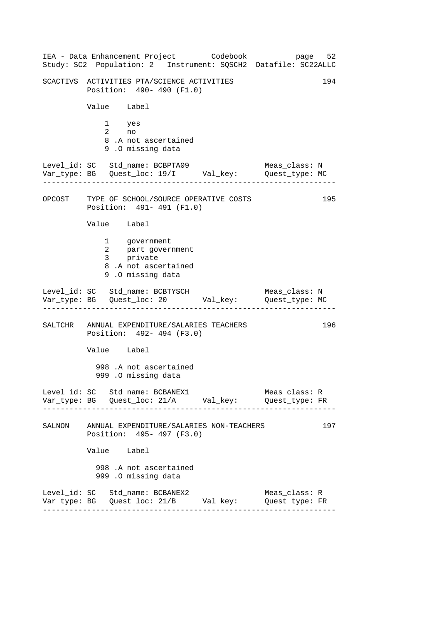------------------------------------------------------------------ ------------------------------------------------------------------ ------------------------------------------------------------------ ------------------------------------------------------------------ IEA - Data Enhancement Project Codebook page 52 Study: SC2 Population: 2 Instrument: SQSCH2 Datafile: SC22ALLC SCACTIVS ACTIVITIES PTA/SCIENCE ACTIVITIES 194 Position: 490- 490 (F1.0) Value Label 1 yes 2 no 8 .A not ascertained 9 .O missing data Level\_id: SC Std\_name: BCBPTA09 Meas\_class: N Var\_type: BG Quest\_loc: 19/I Val\_key: Quest\_type: MC OPCOST TYPE OF SCHOOL/SOURCE OPERATIVE COSTS Position: 491- 491 (F1.0) Value Label 1 government 2 part government 3 private 8 .A not ascertained 9 .O missing data Level\_id: SC Std\_name: BCBTYSCH Meas\_class: N Var\_type: BG Quest\_loc: 20 Val\_key: Quest\_type: MC SALTCHR ANNUAL EXPENDITURE/SALARIES TEACHERS 196 Position: 492- 494 (F3.0) Value Label 998 .A not ascertained 999 .O missing data Level\_id: SC Std\_name: BCBANEX1 Meas\_class: R Var\_type: BG Quest\_loc: 21/A Val\_key: Quest\_type: FR SALNON ANNUAL EXPENDITURE/SALARIES NON-TEACHERS 197 Position: 495- 497 (F3.0) Value Label 998 .A not ascertained 999 .O missing data Level\_id: SC Std\_name: BCBANEX2 Meas\_class: R Var\_type: BG Quest\_loc: 21/B Val\_key: Quest\_type: FR 195